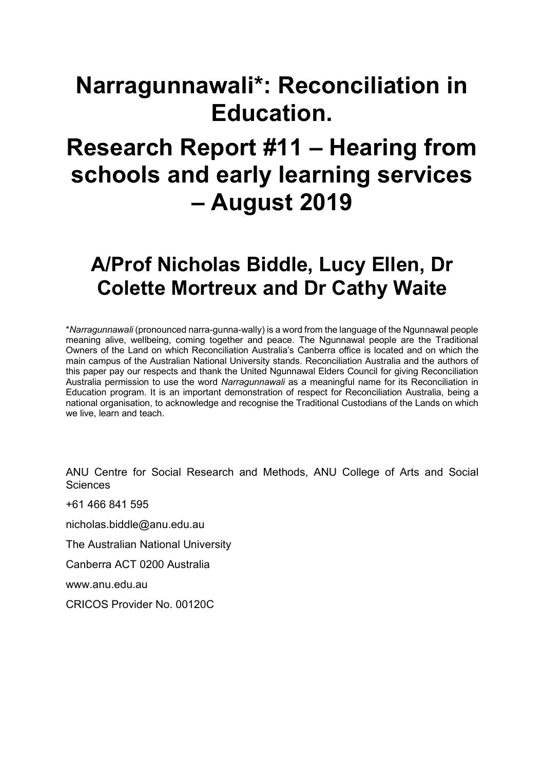# **Narragunnawali\*: Reconciliation in Education.**

# **Research Report #11 – Hearing from schools and early learning services – August 2019**

# **A/Prof Nicholas Biddle, Lucy Ellen, Dr Colette Mortreux and Dr Cathy Waite**

\**Narragunnawali* (pronounced narra-gunna-wally) is a word from the language of the Ngunnawal people meaning alive, wellbeing, coming together and peace. The Ngunnawal people are the Traditional Owners of the Land on which Reconciliation Australia's Canberra office is located and on which the main campus of the Australian National University stands. Reconciliation Australia and the authors of this paper pay our respects and thank the United Ngunnawal Elders Council for giving Reconciliation Australia permission to use the word *Narragunnawali* as a meaningful name for its Reconciliation in Education program. It is an important demonstration of respect for Reconciliation Australia, being a national organisation, to acknowledge and recognise the Traditional Custodians of the Lands on which we live, learn and teach.

ANU Centre for Social Research and Methods, ANU College of Arts and Social **Sciences** 

+61 466 841 595

nicholas.biddle@anu.edu.au

The Australian National University

Canberra ACT 0200 Australia

www.anu.edu.au

CRICOS Provider No. 00120C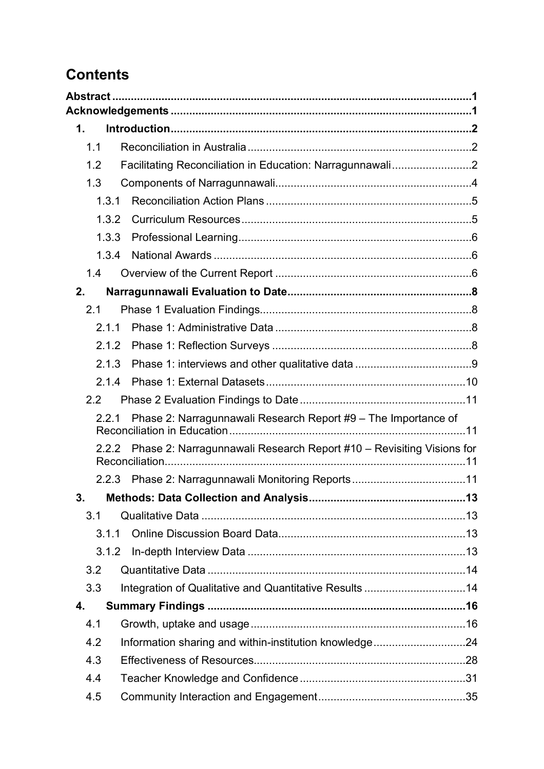# **Contents**

| $\mathbf 1$ . |                                                                      |  |
|---------------|----------------------------------------------------------------------|--|
| 1.1           |                                                                      |  |
| 1.2           | Facilitating Reconciliation in Education: Narragunnawali2            |  |
| 1.3           |                                                                      |  |
| 1.3.1         |                                                                      |  |
| 1.3.2         |                                                                      |  |
| 1.3.3         |                                                                      |  |
| 1.3.4         |                                                                      |  |
| 1.4           |                                                                      |  |
| 2.            |                                                                      |  |
| 2.1           |                                                                      |  |
| 2.1.1         |                                                                      |  |
| 2.1.2         |                                                                      |  |
| 2.1.3         |                                                                      |  |
| 2.1.4         |                                                                      |  |
| 2.2           |                                                                      |  |
| 2.2.1         | Phase 2: Narragunnawali Research Report #9 - The Importance of       |  |
| 2.2.2         | Phase 2: Narragunnawali Research Report #10 - Revisiting Visions for |  |
|               | 2.2.3 Phase 2: Narragunnawali Monitoring Reports11                   |  |
| 3.            | Methods: Data Collection and Analysis                                |  |
| 3.1           |                                                                      |  |
| 3.1.1         |                                                                      |  |
| 3.1.2         |                                                                      |  |
| 3.2           |                                                                      |  |
| 3.3           |                                                                      |  |
| 4.            |                                                                      |  |
| 4.1           |                                                                      |  |
| 4.2           | Information sharing and within-institution knowledge24               |  |
| 4.3           |                                                                      |  |
| 4.4           |                                                                      |  |
| 4.5           |                                                                      |  |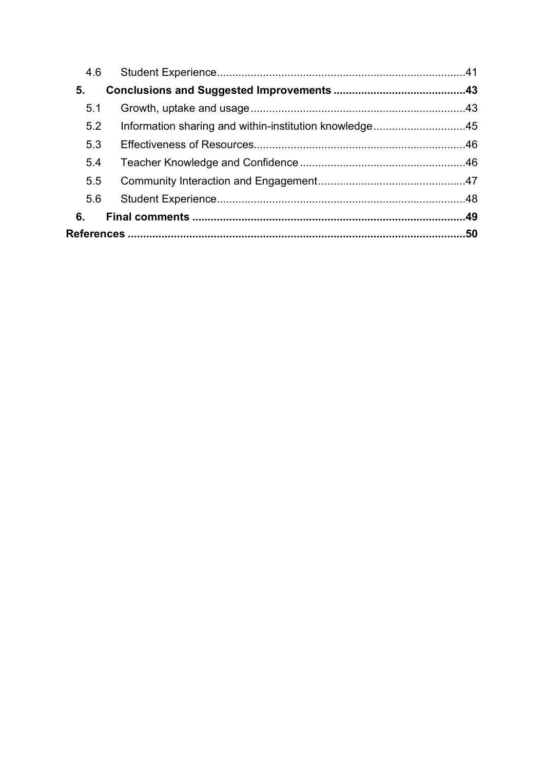| 4.6 |                                                        |  |
|-----|--------------------------------------------------------|--|
| 5.  |                                                        |  |
| 5.1 |                                                        |  |
| 5.2 | Information sharing and within-institution knowledge45 |  |
| 5.3 |                                                        |  |
| 5.4 |                                                        |  |
| 5.5 |                                                        |  |
| 5.6 |                                                        |  |
| 6.  |                                                        |  |
|     |                                                        |  |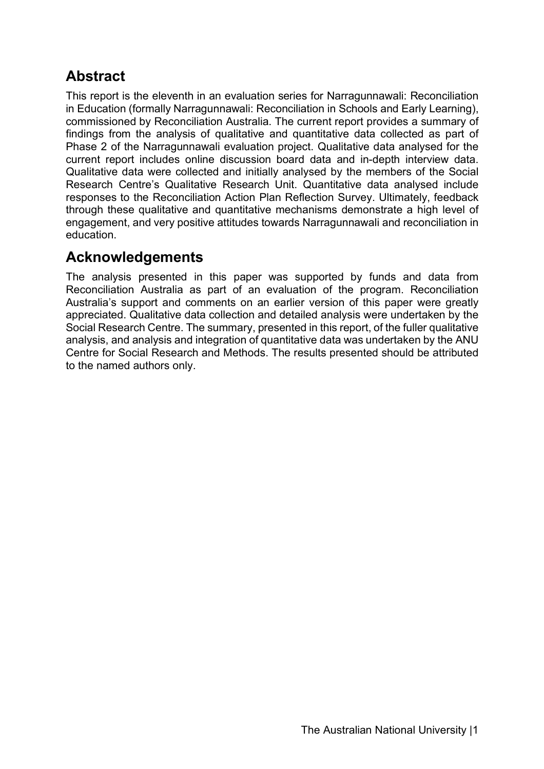# **Abstract**

This report is the eleventh in an evaluation series for Narragunnawali: Reconciliation in Education (formally Narragunnawali: Reconciliation in Schools and Early Learning), commissioned by Reconciliation Australia. The current report provides a summary of findings from the analysis of qualitative and quantitative data collected as part of Phase 2 of the Narragunnawali evaluation project. Qualitative data analysed for the current report includes online discussion board data and in-depth interview data. Qualitative data were collected and initially analysed by the members of the Social Research Centre's Qualitative Research Unit. Quantitative data analysed include responses to the Reconciliation Action Plan Reflection Survey. Ultimately, feedback through these qualitative and quantitative mechanisms demonstrate a high level of engagement, and very positive attitudes towards Narragunnawali and reconciliation in education.

# **Acknowledgements**

The analysis presented in this paper was supported by funds and data from Reconciliation Australia as part of an evaluation of the program. Reconciliation Australia's support and comments on an earlier version of this paper were greatly appreciated. Qualitative data collection and detailed analysis were undertaken by the Social Research Centre. The summary, presented in this report, of the fuller qualitative analysis, and analysis and integration of quantitative data was undertaken by the ANU Centre for Social Research and Methods. The results presented should be attributed to the named authors only.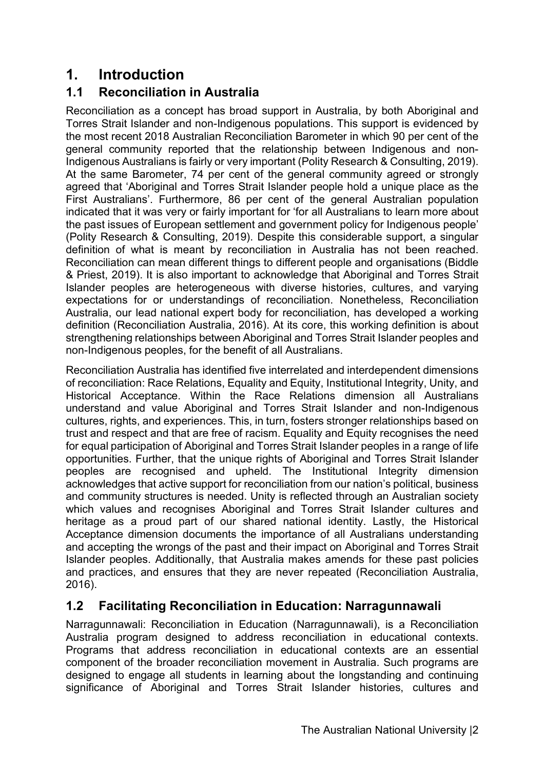# **1. Introduction**

# **1.1 Reconciliation in Australia**

Reconciliation as a concept has broad support in Australia, by both Aboriginal and Torres Strait Islander and non-Indigenous populations. This support is evidenced by the most recent 2018 Australian Reconciliation Barometer in which 90 per cent of the general community reported that the relationship between Indigenous and non-Indigenous Australians is fairly or very important (Polity Research & Consulting, 2019). At the same Barometer, 74 per cent of the general community agreed or strongly agreed that 'Aboriginal and Torres Strait Islander people hold a unique place as the First Australians'. Furthermore, 86 per cent of the general Australian population indicated that it was very or fairly important for 'for all Australians to learn more about the past issues of European settlement and government policy for Indigenous people' (Polity Research & Consulting, 2019). Despite this considerable support, a singular definition of what is meant by reconciliation in Australia has not been reached. Reconciliation can mean different things to different people and organisations (Biddle & Priest, 2019). It is also important to acknowledge that Aboriginal and Torres Strait Islander peoples are heterogeneous with diverse histories, cultures, and varying expectations for or understandings of reconciliation. Nonetheless, Reconciliation Australia, our lead national expert body for reconciliation, has developed a working definition (Reconciliation Australia, 2016). At its core, this working definition is about strengthening relationships between Aboriginal and Torres Strait Islander peoples and non-Indigenous peoples, for the benefit of all Australians.

Reconciliation Australia has identified five interrelated and interdependent dimensions of reconciliation: Race Relations, Equality and Equity, Institutional Integrity, Unity, and Historical Acceptance. Within the Race Relations dimension all Australians understand and value Aboriginal and Torres Strait Islander and non-Indigenous cultures, rights, and experiences. This, in turn, fosters stronger relationships based on trust and respect and that are free of racism. Equality and Equity recognises the need for equal participation of Aboriginal and Torres Strait Islander peoples in a range of life opportunities. Further, that the unique rights of Aboriginal and Torres Strait Islander peoples are recognised and upheld. The Institutional Integrity dimension acknowledges that active support for reconciliation from our nation's political, business and community structures is needed. Unity is reflected through an Australian society which values and recognises Aboriginal and Torres Strait Islander cultures and heritage as a proud part of our shared national identity. Lastly, the Historical Acceptance dimension documents the importance of all Australians understanding and accepting the wrongs of the past and their impact on Aboriginal and Torres Strait Islander peoples. Additionally, that Australia makes amends for these past policies and practices, and ensures that they are never repeated (Reconciliation Australia, 2016).

# **1.2 Facilitating Reconciliation in Education: Narragunnawali**

Narragunnawali: Reconciliation in Education (Narragunnawali), is a Reconciliation Australia program designed to address reconciliation in educational contexts. Programs that address reconciliation in educational contexts are an essential component of the broader reconciliation movement in Australia. Such programs are designed to engage all students in learning about the longstanding and continuing significance of Aboriginal and Torres Strait Islander histories, cultures and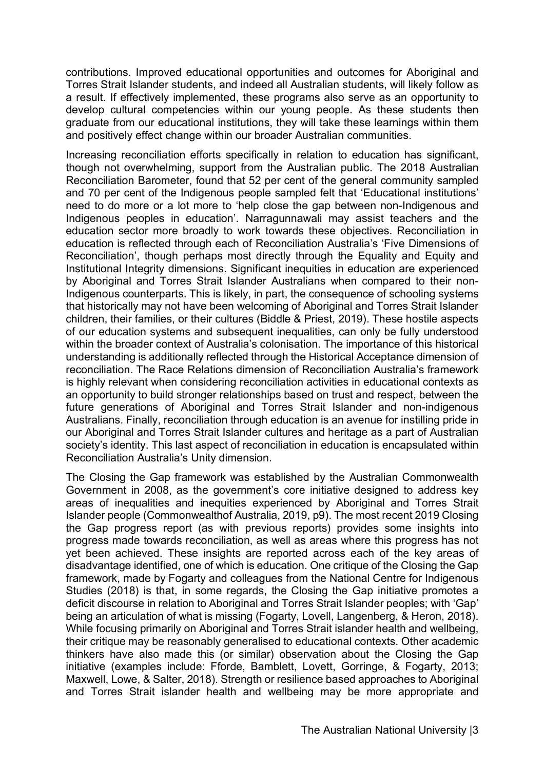contributions. Improved educational opportunities and outcomes for Aboriginal and Torres Strait Islander students, and indeed all Australian students, will likely follow as a result. If effectively implemented, these programs also serve as an opportunity to develop cultural competencies within our young people. As these students then graduate from our educational institutions, they will take these learnings within them and positively effect change within our broader Australian communities.

Increasing reconciliation efforts specifically in relation to education has significant, though not overwhelming, support from the Australian public. The 2018 Australian Reconciliation Barometer, found that 52 per cent of the general community sampled and 70 per cent of the Indigenous people sampled felt that 'Educational institutions' need to do more or a lot more to 'help close the gap between non-Indigenous and Indigenous peoples in education'. Narragunnawali may assist teachers and the education sector more broadly to work towards these objectives. Reconciliation in education is reflected through each of Reconciliation Australia's 'Five Dimensions of Reconciliation', though perhaps most directly through the Equality and Equity and Institutional Integrity dimensions. Significant inequities in education are experienced by Aboriginal and Torres Strait Islander Australians when compared to their non-Indigenous counterparts. This is likely, in part, the consequence of schooling systems that historically may not have been welcoming of Aboriginal and Torres Strait Islander children, their families, or their cultures (Biddle & Priest, 2019). These hostile aspects of our education systems and subsequent inequalities, can only be fully understood within the broader context of Australia's colonisation. The importance of this historical understanding is additionally reflected through the Historical Acceptance dimension of reconciliation. The Race Relations dimension of Reconciliation Australia's framework is highly relevant when considering reconciliation activities in educational contexts as an opportunity to build stronger relationships based on trust and respect, between the future generations of Aboriginal and Torres Strait Islander and non-indigenous Australians. Finally, reconciliation through education is an avenue for instilling pride in our Aboriginal and Torres Strait Islander cultures and heritage as a part of Australian society's identity. This last aspect of reconciliation in education is encapsulated within Reconciliation Australia's Unity dimension.

The Closing the Gap framework was established by the Australian Commonwealth Government in 2008, as the government's core initiative designed to address key areas of inequalities and inequities experienced by Aboriginal and Torres Strait Islander people (Commonwealthof Australia, 2019, p9). The most recent 2019 Closing the Gap progress report (as with previous reports) provides some insights into progress made towards reconciliation, as well as areas where this progress has not yet been achieved. These insights are reported across each of the key areas of disadvantage identified, one of which is education. One critique of the Closing the Gap framework, made by Fogarty and colleagues from the National Centre for Indigenous Studies (2018) is that, in some regards, the Closing the Gap initiative promotes a deficit discourse in relation to Aboriginal and Torres Strait Islander peoples; with 'Gap' being an articulation of what is missing (Fogarty, Lovell, Langenberg, & Heron, 2018). While focusing primarily on Aboriginal and Torres Strait islander health and wellbeing, their critique may be reasonably generalised to educational contexts. Other academic thinkers have also made this (or similar) observation about the Closing the Gap initiative (examples include: Fforde, Bamblett, Lovett, Gorringe, & Fogarty, 2013; Maxwell, Lowe, & Salter, 2018). Strength or resilience based approaches to Aboriginal and Torres Strait islander health and wellbeing may be more appropriate and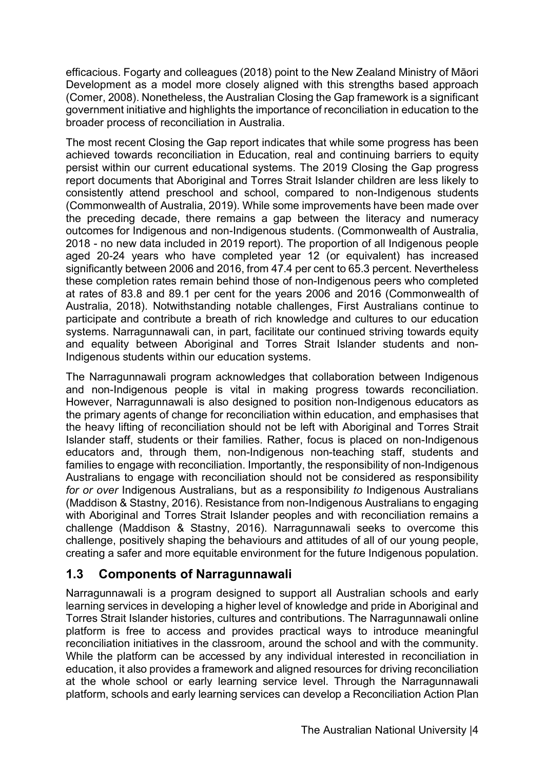efficacious. Fogarty and colleagues (2018) point to the New Zealand Ministry of Māori Development as a model more closely aligned with this strengths based approach (Comer, 2008). Nonetheless, the Australian Closing the Gap framework is a significant government initiative and highlights the importance of reconciliation in education to the broader process of reconciliation in Australia.

The most recent Closing the Gap report indicates that while some progress has been achieved towards reconciliation in Education, real and continuing barriers to equity persist within our current educational systems. The 2019 Closing the Gap progress report documents that Aboriginal and Torres Strait Islander children are less likely to consistently attend preschool and school, compared to non-Indigenous students (Commonwealth of Australia, 2019). While some improvements have been made over the preceding decade, there remains a gap between the literacy and numeracy outcomes for Indigenous and non-Indigenous students. (Commonwealth of Australia, 2018 - no new data included in 2019 report). The proportion of all Indigenous people aged 20-24 years who have completed year 12 (or equivalent) has increased significantly between 2006 and 2016, from 47.4 per cent to 65.3 percent. Nevertheless these completion rates remain behind those of non-Indigenous peers who completed at rates of 83.8 and 89.1 per cent for the years 2006 and 2016 (Commonwealth of Australia, 2018). Notwithstanding notable challenges, First Australians continue to participate and contribute a breath of rich knowledge and cultures to our education systems. Narragunnawali can, in part, facilitate our continued striving towards equity and equality between Aboriginal and Torres Strait Islander students and non-Indigenous students within our education systems.

The Narragunnawali program acknowledges that collaboration between Indigenous and non-Indigenous people is vital in making progress towards reconciliation. However, Narragunnawali is also designed to position non-Indigenous educators as the primary agents of change for reconciliation within education, and emphasises that the heavy lifting of reconciliation should not be left with Aboriginal and Torres Strait Islander staff, students or their families. Rather, focus is placed on non-Indigenous educators and, through them, non-Indigenous non-teaching staff, students and families to engage with reconciliation. Importantly, the responsibility of non-Indigenous Australians to engage with reconciliation should not be considered as responsibility *for or over* Indigenous Australians, but as a responsibility *to* Indigenous Australians (Maddison & Stastny, 2016). Resistance from non-Indigenous Australians to engaging with Aboriginal and Torres Strait Islander peoples and with reconciliation remains a challenge (Maddison & Stastny, 2016). Narragunnawali seeks to overcome this challenge, positively shaping the behaviours and attitudes of all of our young people, creating a safer and more equitable environment for the future Indigenous population.

## **1.3 Components of Narragunnawali**

Narragunnawali is a program designed to support all Australian schools and early learning services in developing a higher level of knowledge and pride in Aboriginal and Torres Strait Islander histories, cultures and contributions. The Narragunnawali online platform is free to access and provides practical ways to introduce meaningful reconciliation initiatives in the classroom, around the school and with the community. While the platform can be accessed by any individual interested in reconciliation in education, it also provides a framework and aligned resources for driving reconciliation at the whole school or early learning service level. Through the Narragunnawali platform, schools and early learning services can develop a Reconciliation Action Plan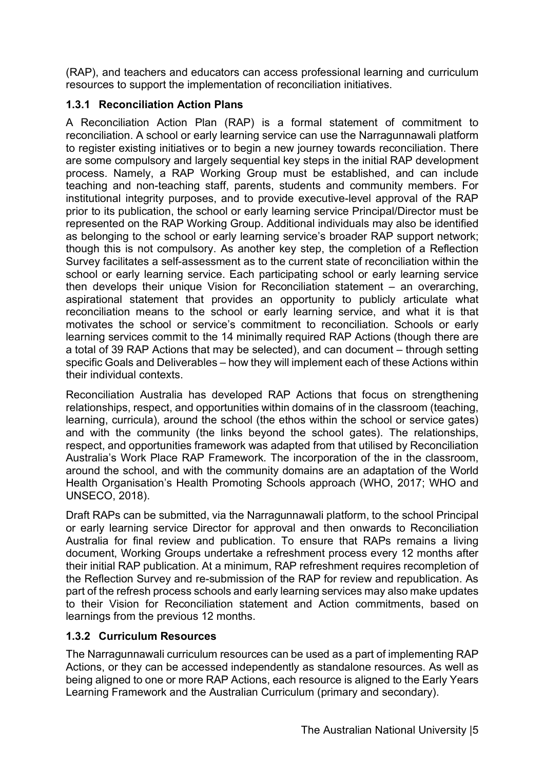(RAP), and teachers and educators can access professional learning and curriculum resources to support the implementation of reconciliation initiatives.

#### **1.3.1 Reconciliation Action Plans**

A Reconciliation Action Plan (RAP) is a formal statement of commitment to reconciliation. A school or early learning service can use the Narragunnawali platform to register existing initiatives or to begin a new journey towards reconciliation. There are some compulsory and largely sequential key steps in the initial RAP development process. Namely, a RAP Working Group must be established, and can include teaching and non-teaching staff, parents, students and community members. For institutional integrity purposes, and to provide executive-level approval of the RAP prior to its publication, the school or early learning service Principal/Director must be represented on the RAP Working Group. Additional individuals may also be identified as belonging to the school or early learning service's broader RAP support network; though this is not compulsory. As another key step, the completion of a Reflection Survey facilitates a self-assessment as to the current state of reconciliation within the school or early learning service. Each participating school or early learning service then develops their unique Vision for Reconciliation statement – an overarching, aspirational statement that provides an opportunity to publicly articulate what reconciliation means to the school or early learning service, and what it is that motivates the school or service's commitment to reconciliation. Schools or early learning services commit to the 14 minimally required RAP Actions (though there are a total of 39 RAP Actions that may be selected), and can document – through setting specific Goals and Deliverables – how they will implement each of these Actions within their individual contexts.

Reconciliation Australia has developed RAP Actions that focus on strengthening relationships, respect, and opportunities within domains of in the classroom (teaching, learning, curricula), around the school (the ethos within the school or service gates) and with the community (the links beyond the school gates). The relationships, respect, and opportunities framework was adapted from that utilised by Reconciliation Australia's Work Place RAP Framework. The incorporation of the in the classroom, around the school, and with the community domains are an adaptation of the World Health Organisation's Health Promoting Schools approach (WHO, 2017; WHO and UNSECO, 2018).

Draft RAPs can be submitted, via the Narragunnawali platform, to the school Principal or early learning service Director for approval and then onwards to Reconciliation Australia for final review and publication. To ensure that RAPs remains a living document, Working Groups undertake a refreshment process every 12 months after their initial RAP publication. At a minimum, RAP refreshment requires recompletion of the Reflection Survey and re-submission of the RAP for review and republication. As part of the refresh process schools and early learning services may also make updates to their Vision for Reconciliation statement and Action commitments, based on learnings from the previous 12 months.

#### **1.3.2 Curriculum Resources**

The Narragunnawali curriculum resources can be used as a part of implementing RAP Actions, or they can be accessed independently as standalone resources. As well as being aligned to one or more RAP Actions, each resource is aligned to the Early Years Learning Framework and the Australian Curriculum (primary and secondary).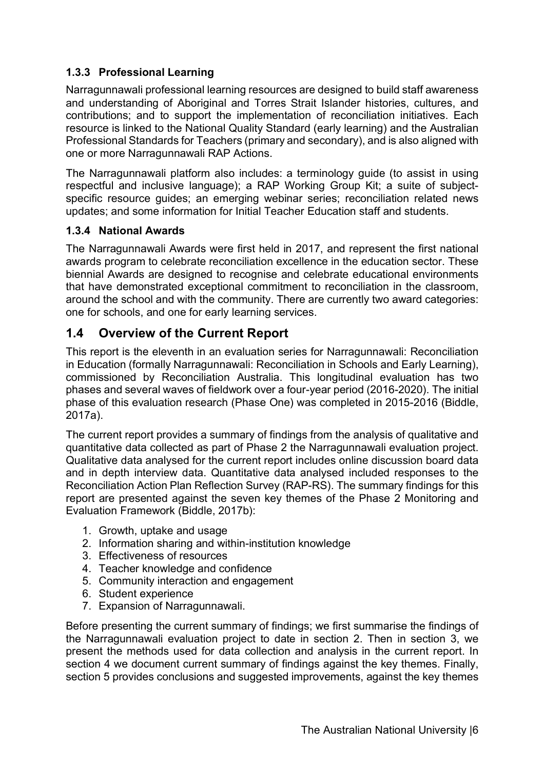#### **1.3.3 Professional Learning**

Narragunnawali professional learning resources are designed to build staff awareness and understanding of Aboriginal and Torres Strait Islander histories, cultures, and contributions; and to support the implementation of reconciliation initiatives. Each resource is linked to the National Quality Standard (early learning) and the Australian Professional Standards for Teachers (primary and secondary), and is also aligned with one or more Narragunnawali RAP Actions.

The Narragunnawali platform also includes: a terminology guide (to assist in using respectful and inclusive language); a RAP Working Group Kit; a suite of subjectspecific resource guides; an emerging webinar series; reconciliation related news updates; and some information for Initial Teacher Education staff and students.

#### **1.3.4 National Awards**

The Narragunnawali Awards were first held in 2017, and represent the first national awards program to celebrate reconciliation excellence in the education sector. These biennial Awards are designed to recognise and celebrate educational environments that have demonstrated exceptional commitment to reconciliation in the classroom, around the school and with the community. There are currently two award categories: one for schools, and one for early learning services.

#### **1.4 Overview of the Current Report**

This report is the eleventh in an evaluation series for Narragunnawali: Reconciliation in Education (formally Narragunnawali: Reconciliation in Schools and Early Learning), commissioned by Reconciliation Australia. This longitudinal evaluation has two phases and several waves of fieldwork over a four-year period (2016-2020). The initial phase of this evaluation research (Phase One) was completed in 2015-2016 (Biddle, 2017a).

The current report provides a summary of findings from the analysis of qualitative and quantitative data collected as part of Phase 2 the Narragunnawali evaluation project. Qualitative data analysed for the current report includes online discussion board data and in depth interview data. Quantitative data analysed included responses to the Reconciliation Action Plan Reflection Survey (RAP-RS). The summary findings for this report are presented against the seven key themes of the Phase 2 Monitoring and Evaluation Framework (Biddle, 2017b):

- 1. Growth, uptake and usage
- 2. Information sharing and within-institution knowledge
- 3. Effectiveness of resources
- 4. Teacher knowledge and confidence
- 5. Community interaction and engagement
- 6. Student experience
- 7. Expansion of Narragunnawali.

Before presenting the current summary of findings; we first summarise the findings of the Narragunnawali evaluation project to date in section 2. Then in section 3, we present the methods used for data collection and analysis in the current report. In section 4 we document current summary of findings against the key themes. Finally, section 5 provides conclusions and suggested improvements, against the key themes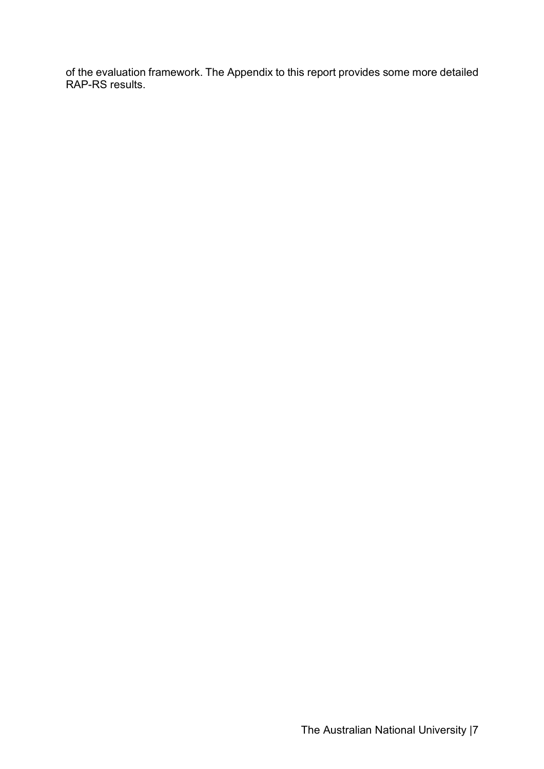of the evaluation framework. The Appendix to this report provides some more detailed RAP-RS results.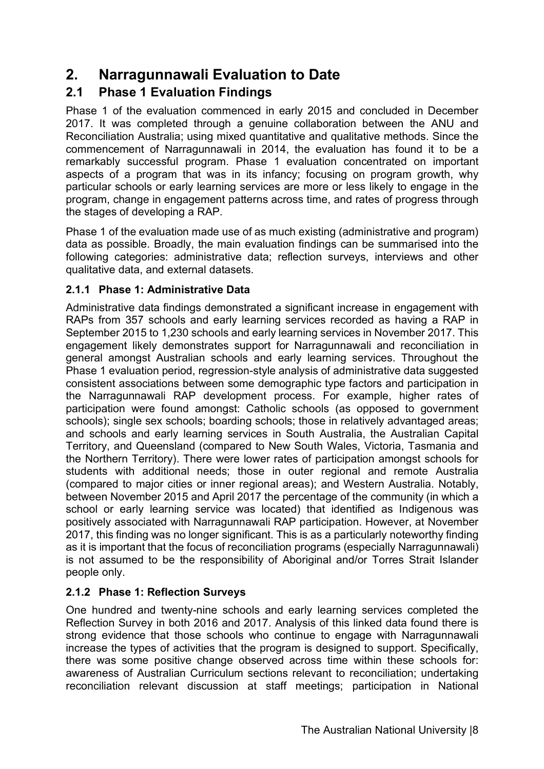# **2. Narragunnawali Evaluation to Date**

# **2.1 Phase 1 Evaluation Findings**

Phase 1 of the evaluation commenced in early 2015 and concluded in December 2017. It was completed through a genuine collaboration between the ANU and Reconciliation Australia; using mixed quantitative and qualitative methods. Since the commencement of Narragunnawali in 2014, the evaluation has found it to be a remarkably successful program. Phase 1 evaluation concentrated on important aspects of a program that was in its infancy; focusing on program growth, why particular schools or early learning services are more or less likely to engage in the program, change in engagement patterns across time, and rates of progress through the stages of developing a RAP.

Phase 1 of the evaluation made use of as much existing (administrative and program) data as possible. Broadly, the main evaluation findings can be summarised into the following categories: administrative data; reflection surveys, interviews and other qualitative data, and external datasets.

#### **2.1.1 Phase 1: Administrative Data**

Administrative data findings demonstrated a significant increase in engagement with RAPs from 357 schools and early learning services recorded as having a RAP in September 2015 to 1,230 schools and early learning services in November 2017. This engagement likely demonstrates support for Narragunnawali and reconciliation in general amongst Australian schools and early learning services. Throughout the Phase 1 evaluation period, regression-style analysis of administrative data suggested consistent associations between some demographic type factors and participation in the Narragunnawali RAP development process. For example, higher rates of participation were found amongst: Catholic schools (as opposed to government schools); single sex schools; boarding schools; those in relatively advantaged areas; and schools and early learning services in South Australia, the Australian Capital Territory, and Queensland (compared to New South Wales, Victoria, Tasmania and the Northern Territory). There were lower rates of participation amongst schools for students with additional needs; those in outer regional and remote Australia (compared to major cities or inner regional areas); and Western Australia. Notably, between November 2015 and April 2017 the percentage of the community (in which a school or early learning service was located) that identified as Indigenous was positively associated with Narragunnawali RAP participation. However, at November 2017, this finding was no longer significant. This is as a particularly noteworthy finding as it is important that the focus of reconciliation programs (especially Narragunnawali) is not assumed to be the responsibility of Aboriginal and/or Torres Strait Islander people only.

#### **2.1.2 Phase 1: Reflection Surveys**

One hundred and twenty-nine schools and early learning services completed the Reflection Survey in both 2016 and 2017. Analysis of this linked data found there is strong evidence that those schools who continue to engage with Narragunnawali increase the types of activities that the program is designed to support. Specifically, there was some positive change observed across time within these schools for: awareness of Australian Curriculum sections relevant to reconciliation; undertaking reconciliation relevant discussion at staff meetings; participation in National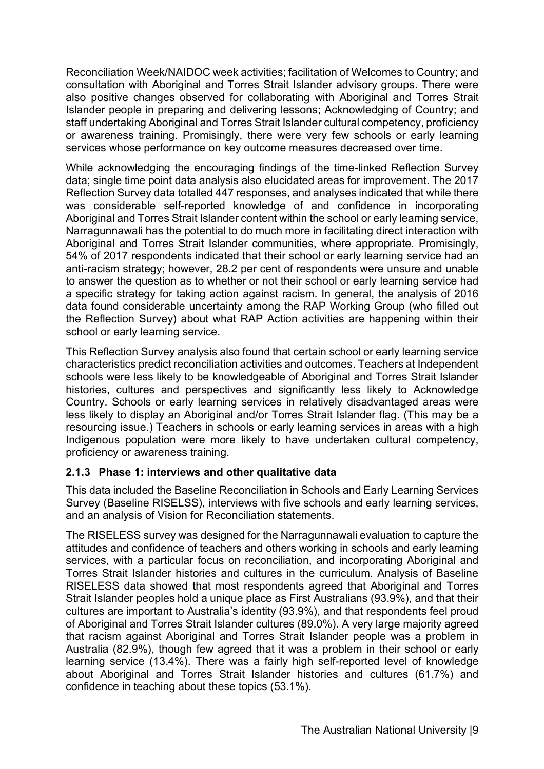Reconciliation Week/NAIDOC week activities; facilitation of Welcomes to Country; and consultation with Aboriginal and Torres Strait Islander advisory groups. There were also positive changes observed for collaborating with Aboriginal and Torres Strait Islander people in preparing and delivering lessons; Acknowledging of Country; and staff undertaking Aboriginal and Torres Strait Islander cultural competency, proficiency or awareness training. Promisingly, there were very few schools or early learning services whose performance on key outcome measures decreased over time.

While acknowledging the encouraging findings of the time-linked Reflection Survey data; single time point data analysis also elucidated areas for improvement. The 2017 Reflection Survey data totalled 447 responses, and analyses indicated that while there was considerable self-reported knowledge of and confidence in incorporating Aboriginal and Torres Strait Islander content within the school or early learning service, Narragunnawali has the potential to do much more in facilitating direct interaction with Aboriginal and Torres Strait Islander communities, where appropriate. Promisingly, 54% of 2017 respondents indicated that their school or early learning service had an anti-racism strategy; however, 28.2 per cent of respondents were unsure and unable to answer the question as to whether or not their school or early learning service had a specific strategy for taking action against racism. In general, the analysis of 2016 data found considerable uncertainty among the RAP Working Group (who filled out the Reflection Survey) about what RAP Action activities are happening within their school or early learning service.

This Reflection Survey analysis also found that certain school or early learning service characteristics predict reconciliation activities and outcomes. Teachers at Independent schools were less likely to be knowledgeable of Aboriginal and Torres Strait Islander histories, cultures and perspectives and significantly less likely to Acknowledge Country. Schools or early learning services in relatively disadvantaged areas were less likely to display an Aboriginal and/or Torres Strait Islander flag. (This may be a resourcing issue.) Teachers in schools or early learning services in areas with a high Indigenous population were more likely to have undertaken cultural competency, proficiency or awareness training.

#### **2.1.3 Phase 1: interviews and other qualitative data**

This data included the Baseline Reconciliation in Schools and Early Learning Services Survey (Baseline RISELSS), interviews with five schools and early learning services, and an analysis of Vision for Reconciliation statements.

The RISELESS survey was designed for the Narragunnawali evaluation to capture the attitudes and confidence of teachers and others working in schools and early learning services, with a particular focus on reconciliation, and incorporating Aboriginal and Torres Strait Islander histories and cultures in the curriculum. Analysis of Baseline RISELESS data showed that most respondents agreed that Aboriginal and Torres Strait Islander peoples hold a unique place as First Australians (93.9%), and that their cultures are important to Australia's identity (93.9%), and that respondents feel proud of Aboriginal and Torres Strait Islander cultures (89.0%). A very large majority agreed that racism against Aboriginal and Torres Strait Islander people was a problem in Australia (82.9%), though few agreed that it was a problem in their school or early learning service (13.4%). There was a fairly high self-reported level of knowledge about Aboriginal and Torres Strait Islander histories and cultures (61.7%) and confidence in teaching about these topics (53.1%).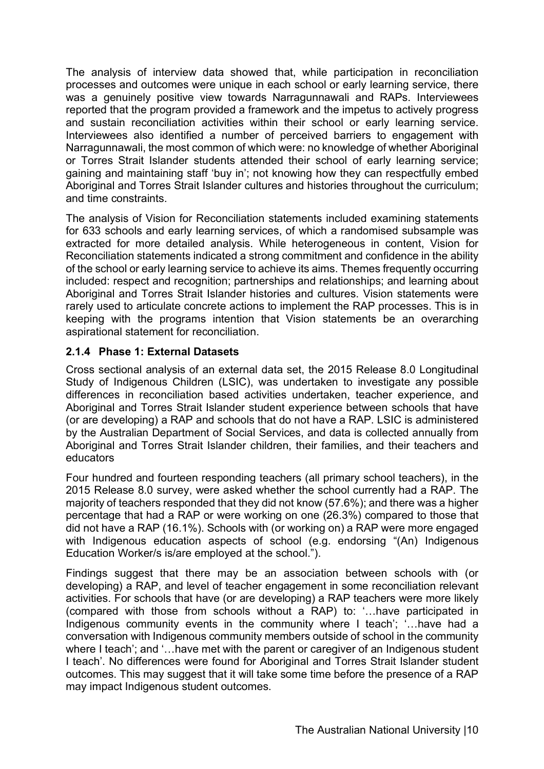The analysis of interview data showed that, while participation in reconciliation processes and outcomes were unique in each school or early learning service, there was a genuinely positive view towards Narragunnawali and RAPs. Interviewees reported that the program provided a framework and the impetus to actively progress and sustain reconciliation activities within their school or early learning service. Interviewees also identified a number of perceived barriers to engagement with Narragunnawali, the most common of which were: no knowledge of whether Aboriginal or Torres Strait Islander students attended their school of early learning service; gaining and maintaining staff 'buy in'; not knowing how they can respectfully embed Aboriginal and Torres Strait Islander cultures and histories throughout the curriculum; and time constraints.

The analysis of Vision for Reconciliation statements included examining statements for 633 schools and early learning services, of which a randomised subsample was extracted for more detailed analysis. While heterogeneous in content, Vision for Reconciliation statements indicated a strong commitment and confidence in the ability of the school or early learning service to achieve its aims. Themes frequently occurring included: respect and recognition; partnerships and relationships; and learning about Aboriginal and Torres Strait Islander histories and cultures. Vision statements were rarely used to articulate concrete actions to implement the RAP processes. This is in keeping with the programs intention that Vision statements be an overarching aspirational statement for reconciliation.

#### **2.1.4 Phase 1: External Datasets**

Cross sectional analysis of an external data set, the 2015 Release 8.0 Longitudinal Study of Indigenous Children (LSIC), was undertaken to investigate any possible differences in reconciliation based activities undertaken, teacher experience, and Aboriginal and Torres Strait Islander student experience between schools that have (or are developing) a RAP and schools that do not have a RAP. LSIC is administered by the Australian Department of Social Services, and data is collected annually from Aboriginal and Torres Strait Islander children, their families, and their teachers and educators

Four hundred and fourteen responding teachers (all primary school teachers), in the 2015 Release 8.0 survey, were asked whether the school currently had a RAP. The majority of teachers responded that they did not know (57.6%); and there was a higher percentage that had a RAP or were working on one (26.3%) compared to those that did not have a RAP (16.1%). Schools with (or working on) a RAP were more engaged with Indigenous education aspects of school (e.g. endorsing "(An) Indigenous Education Worker/s is/are employed at the school.").

Findings suggest that there may be an association between schools with (or developing) a RAP, and level of teacher engagement in some reconciliation relevant activities. For schools that have (or are developing) a RAP teachers were more likely (compared with those from schools without a RAP) to: '…have participated in Indigenous community events in the community where I teach'; '…have had a conversation with Indigenous community members outside of school in the community where I teach'; and '…have met with the parent or caregiver of an Indigenous student I teach'. No differences were found for Aboriginal and Torres Strait Islander student outcomes. This may suggest that it will take some time before the presence of a RAP may impact Indigenous student outcomes.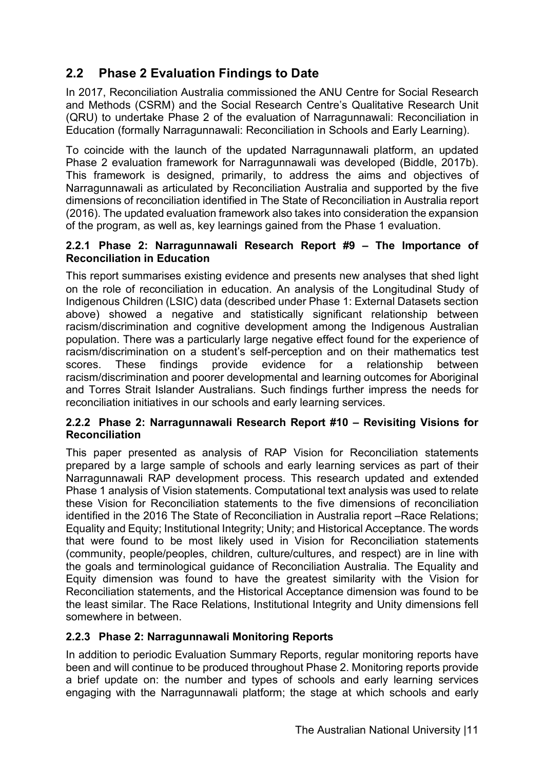# **2.2 Phase 2 Evaluation Findings to Date**

In 2017, Reconciliation Australia commissioned the ANU Centre for Social Research and Methods (CSRM) and the Social Research Centre's Qualitative Research Unit (QRU) to undertake Phase 2 of the evaluation of Narragunnawali: Reconciliation in Education (formally Narragunnawali: Reconciliation in Schools and Early Learning).

To coincide with the launch of the updated Narragunnawali platform, an updated Phase 2 evaluation framework for Narragunnawali was developed (Biddle, 2017b). This framework is designed, primarily, to address the aims and objectives of Narragunnawali as articulated by Reconciliation Australia and supported by the five dimensions of reconciliation identified in The State of Reconciliation in Australia report (2016). The updated evaluation framework also takes into consideration the expansion of the program, as well as, key learnings gained from the Phase 1 evaluation.

#### **2.2.1 Phase 2: Narragunnawali Research Report #9 – The Importance of Reconciliation in Education**

This report summarises existing evidence and presents new analyses that shed light on the role of reconciliation in education. An analysis of the Longitudinal Study of Indigenous Children (LSIC) data (described under Phase 1: External Datasets section above) showed a negative and statistically significant relationship between racism/discrimination and cognitive development among the Indigenous Australian population. There was a particularly large negative effect found for the experience of racism/discrimination on a student's self-perception and on their mathematics test scores. These findings provide evidence for a relationship between racism/discrimination and poorer developmental and learning outcomes for Aboriginal and Torres Strait Islander Australians. Such findings further impress the needs for reconciliation initiatives in our schools and early learning services.

#### **2.2.2 Phase 2: Narragunnawali Research Report #10 – Revisiting Visions for Reconciliation**

This paper presented as analysis of RAP Vision for Reconciliation statements prepared by a large sample of schools and early learning services as part of their Narragunnawali RAP development process. This research updated and extended Phase 1 analysis of Vision statements. Computational text analysis was used to relate these Vision for Reconciliation statements to the five dimensions of reconciliation identified in the 2016 The State of Reconciliation in Australia report –Race Relations; Equality and Equity; Institutional Integrity; Unity; and Historical Acceptance. The words that were found to be most likely used in Vision for Reconciliation statements (community, people/peoples, children, culture/cultures, and respect) are in line with the goals and terminological guidance of Reconciliation Australia. The Equality and Equity dimension was found to have the greatest similarity with the Vision for Reconciliation statements, and the Historical Acceptance dimension was found to be the least similar. The Race Relations, Institutional Integrity and Unity dimensions fell somewhere in between.

#### **2.2.3 Phase 2: Narragunnawali Monitoring Reports**

In addition to periodic Evaluation Summary Reports, regular monitoring reports have been and will continue to be produced throughout Phase 2. Monitoring reports provide a brief update on: the number and types of schools and early learning services engaging with the Narragunnawali platform; the stage at which schools and early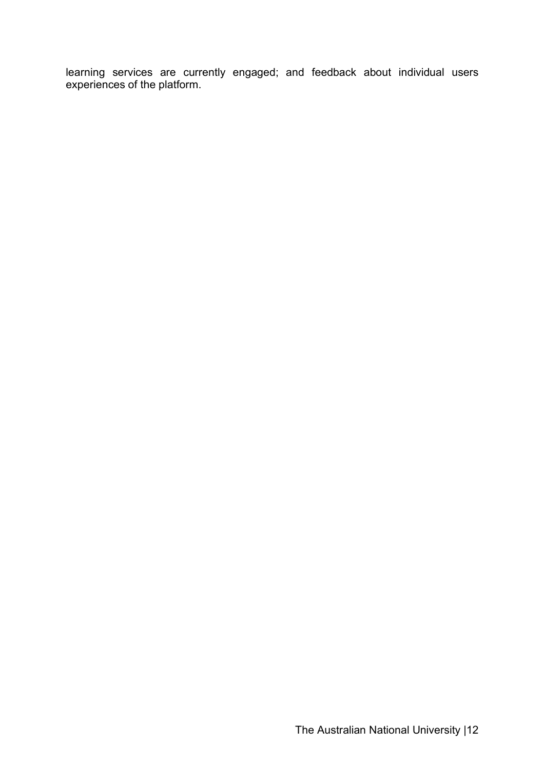learning services are currently engaged; and feedback about individual users experiences of the platform.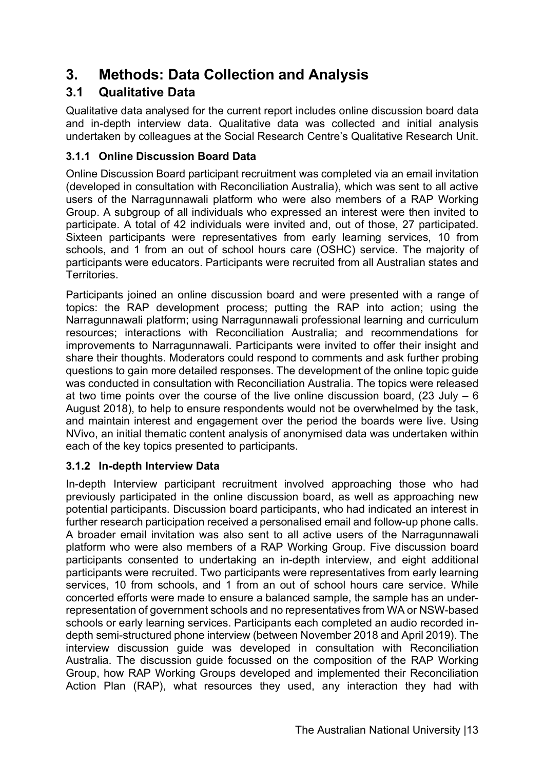# **3. Methods: Data Collection and Analysis**

# **3.1 Qualitative Data**

Qualitative data analysed for the current report includes online discussion board data and in-depth interview data. Qualitative data was collected and initial analysis undertaken by colleagues at the Social Research Centre's Qualitative Research Unit.

### **3.1.1 Online Discussion Board Data**

Online Discussion Board participant recruitment was completed via an email invitation (developed in consultation with Reconciliation Australia), which was sent to all active users of the Narragunnawali platform who were also members of a RAP Working Group. A subgroup of all individuals who expressed an interest were then invited to participate. A total of 42 individuals were invited and, out of those, 27 participated. Sixteen participants were representatives from early learning services, 10 from schools, and 1 from an out of school hours care (OSHC) service. The majority of participants were educators. Participants were recruited from all Australian states and Territories.

Participants joined an online discussion board and were presented with a range of topics: the RAP development process; putting the RAP into action; using the Narragunnawali platform; using Narragunnawali professional learning and curriculum resources; interactions with Reconciliation Australia; and recommendations for improvements to Narragunnawali. Participants were invited to offer their insight and share their thoughts. Moderators could respond to comments and ask further probing questions to gain more detailed responses. The development of the online topic guide was conducted in consultation with Reconciliation Australia. The topics were released at two time points over the course of the live online discussion board,  $(23 \text{ July} - 6)$ August 2018), to help to ensure respondents would not be overwhelmed by the task, and maintain interest and engagement over the period the boards were live. Using NVivo, an initial thematic content analysis of anonymised data was undertaken within each of the key topics presented to participants.

#### **3.1.2 In-depth Interview Data**

In-depth Interview participant recruitment involved approaching those who had previously participated in the online discussion board, as well as approaching new potential participants. Discussion board participants, who had indicated an interest in further research participation received a personalised email and follow-up phone calls. A broader email invitation was also sent to all active users of the Narragunnawali platform who were also members of a RAP Working Group. Five discussion board participants consented to undertaking an in-depth interview, and eight additional participants were recruited. Two participants were representatives from early learning services, 10 from schools, and 1 from an out of school hours care service. While concerted efforts were made to ensure a balanced sample, the sample has an underrepresentation of government schools and no representatives from WA or NSW-based schools or early learning services. Participants each completed an audio recorded indepth semi-structured phone interview (between November 2018 and April 2019). The interview discussion guide was developed in consultation with Reconciliation Australia. The discussion guide focussed on the composition of the RAP Working Group, how RAP Working Groups developed and implemented their Reconciliation Action Plan (RAP), what resources they used, any interaction they had with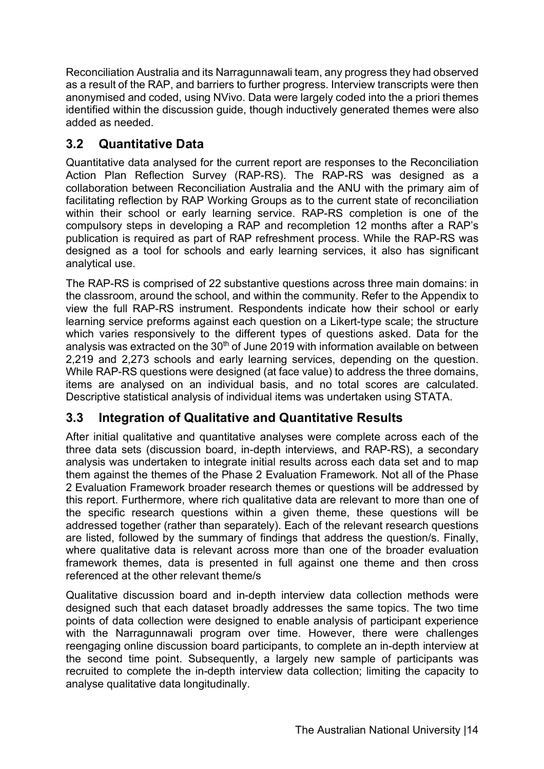Reconciliation Australia and its Narragunnawali team, any progress they had observed as a result of the RAP, and barriers to further progress. Interview transcripts were then anonymised and coded, using NVivo. Data were largely coded into the a priori themes identified within the discussion guide, though inductively generated themes were also added as needed.

# **3.2 Quantitative Data**

Quantitative data analysed for the current report are responses to the Reconciliation Action Plan Reflection Survey (RAP-RS). The RAP-RS was designed as a collaboration between Reconciliation Australia and the ANU with the primary aim of facilitating reflection by RAP Working Groups as to the current state of reconciliation within their school or early learning service. RAP-RS completion is one of the compulsory steps in developing a RAP and recompletion 12 months after a RAP's publication is required as part of RAP refreshment process. While the RAP-RS was designed as a tool for schools and early learning services, it also has significant analytical use.

The RAP-RS is comprised of 22 substantive questions across three main domains: in the classroom, around the school, and within the community. Refer to the Appendix to view the full RAP-RS instrument. Respondents indicate how their school or early learning service preforms against each question on a Likert-type scale; the structure which varies responsively to the different types of questions asked. Data for the analysis was extracted on the  $30<sup>th</sup>$  of June 2019 with information available on between 2,219 and 2,273 schools and early learning services, depending on the question. While RAP-RS questions were designed (at face value) to address the three domains, items are analysed on an individual basis, and no total scores are calculated. Descriptive statistical analysis of individual items was undertaken using STATA.

# **3.3 Integration of Qualitative and Quantitative Results**

After initial qualitative and quantitative analyses were complete across each of the three data sets (discussion board, in-depth interviews, and RAP-RS), a secondary analysis was undertaken to integrate initial results across each data set and to map them against the themes of the Phase 2 Evaluation Framework. Not all of the Phase 2 Evaluation Framework broader research themes or questions will be addressed by this report. Furthermore, where rich qualitative data are relevant to more than one of the specific research questions within a given theme, these questions will be addressed together (rather than separately). Each of the relevant research questions are listed, followed by the summary of findings that address the question/s. Finally, where qualitative data is relevant across more than one of the broader evaluation framework themes, data is presented in full against one theme and then cross referenced at the other relevant theme/s

Qualitative discussion board and in-depth interview data collection methods were designed such that each dataset broadly addresses the same topics. The two time points of data collection were designed to enable analysis of participant experience with the Narragunnawali program over time. However, there were challenges reengaging online discussion board participants, to complete an in-depth interview at the second time point. Subsequently, a largely new sample of participants was recruited to complete the in-depth interview data collection; limiting the capacity to analyse qualitative data longitudinally.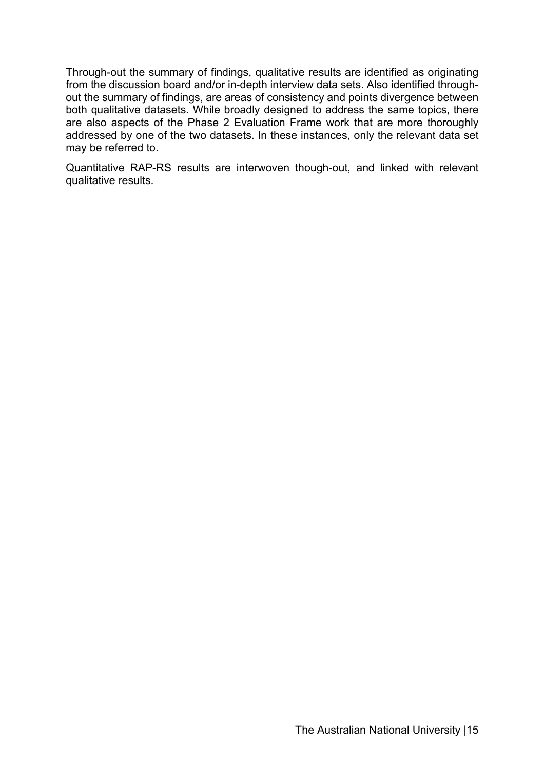Through-out the summary of findings, qualitative results are identified as originating from the discussion board and/or in-depth interview data sets. Also identified throughout the summary of findings, are areas of consistency and points divergence between both qualitative datasets. While broadly designed to address the same topics, there are also aspects of the Phase 2 Evaluation Frame work that are more thoroughly addressed by one of the two datasets. In these instances, only the relevant data set may be referred to.

Quantitative RAP-RS results are interwoven though-out, and linked with relevant qualitative results.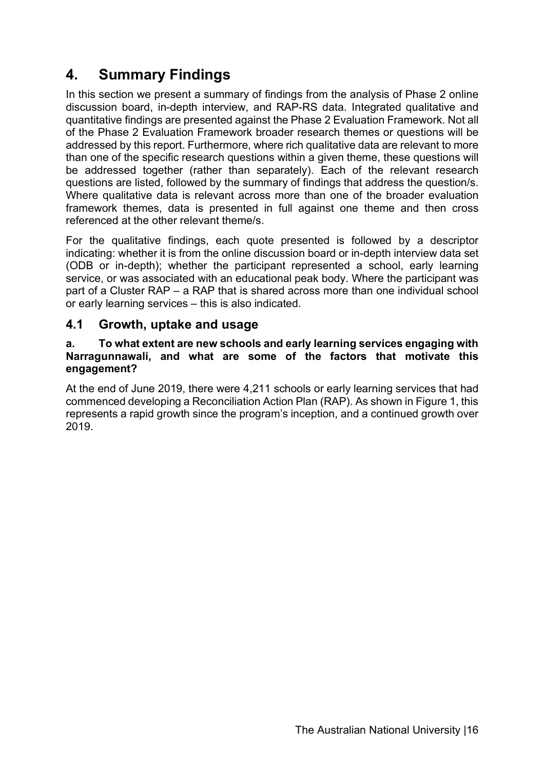# **4. Summary Findings**

In this section we present a summary of findings from the analysis of Phase 2 online discussion board, in-depth interview, and RAP-RS data. Integrated qualitative and quantitative findings are presented against the Phase 2 Evaluation Framework. Not all of the Phase 2 Evaluation Framework broader research themes or questions will be addressed by this report. Furthermore, where rich qualitative data are relevant to more than one of the specific research questions within a given theme, these questions will be addressed together (rather than separately). Each of the relevant research questions are listed, followed by the summary of findings that address the question/s. Where qualitative data is relevant across more than one of the broader evaluation framework themes, data is presented in full against one theme and then cross referenced at the other relevant theme/s.

For the qualitative findings, each quote presented is followed by a descriptor indicating: whether it is from the online discussion board or in-depth interview data set (ODB or in-depth); whether the participant represented a school, early learning service, or was associated with an educational peak body. Where the participant was part of a Cluster RAP – a RAP that is shared across more than one individual school or early learning services – this is also indicated.

### **4.1 Growth, uptake and usage**

#### **a. To what extent are new schools and early learning services engaging with Narragunnawali, and what are some of the factors that motivate this engagement?**

At the end of June 2019, there were 4,211 schools or early learning services that had commenced developing a Reconciliation Action Plan (RAP). As shown in Figure 1, this represents a rapid growth since the program's inception, and a continued growth over 2019.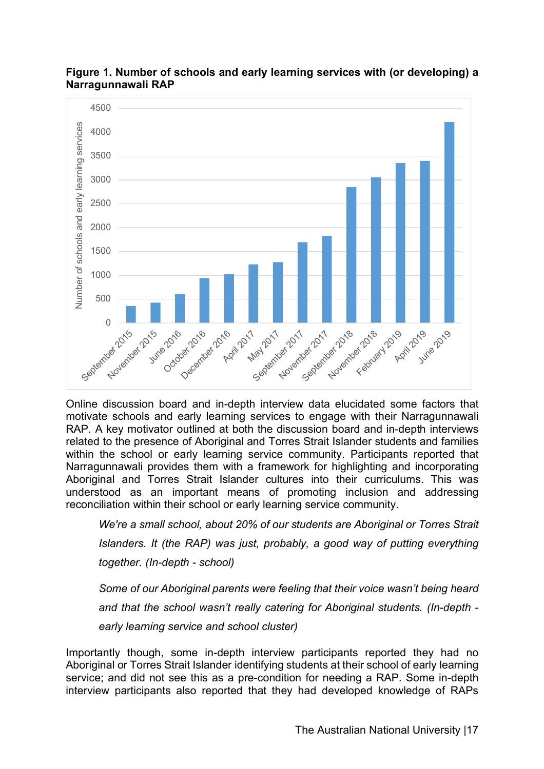

#### **Figure 1. Number of schools and early learning services with (or developing) a Narragunnawali RAP**

Online discussion board and in-depth interview data elucidated some factors that motivate schools and early learning services to engage with their Narragunnawali RAP. A key motivator outlined at both the discussion board and in-depth interviews related to the presence of Aboriginal and Torres Strait Islander students and families within the school or early learning service community. Participants reported that Narragunnawali provides them with a framework for highlighting and incorporating Aboriginal and Torres Strait Islander cultures into their curriculums. This was understood as an important means of promoting inclusion and addressing reconciliation within their school or early learning service community.

*We're a small school, about 20% of our students are Aboriginal or Torres Strait Islanders. It (the RAP) was just, probably, a good way of putting everything together. (In-depth - school)*

*Some of our Aboriginal parents were feeling that their voice wasn't being heard and that the school wasn't really catering for Aboriginal students. (In-depth early learning service and school cluster)*

Importantly though, some in-depth interview participants reported they had no Aboriginal or Torres Strait Islander identifying students at their school of early learning service; and did not see this as a pre-condition for needing a RAP. Some in-depth interview participants also reported that they had developed knowledge of RAPs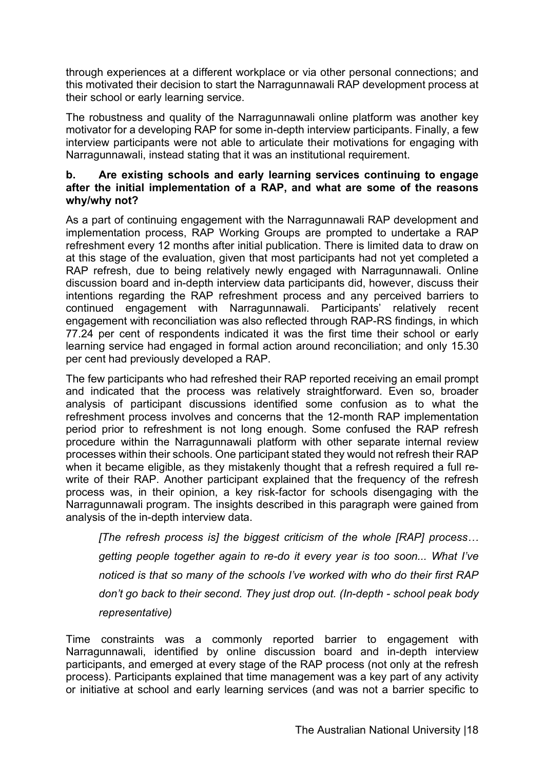through experiences at a different workplace or via other personal connections; and this motivated their decision to start the Narragunnawali RAP development process at their school or early learning service.

The robustness and quality of the Narragunnawali online platform was another key motivator for a developing RAP for some in-depth interview participants. Finally, a few interview participants were not able to articulate their motivations for engaging with Narragunnawali, instead stating that it was an institutional requirement.

#### **b. Are existing schools and early learning services continuing to engage after the initial implementation of a RAP, and what are some of the reasons why/why not?**

As a part of continuing engagement with the Narragunnawali RAP development and implementation process, RAP Working Groups are prompted to undertake a RAP refreshment every 12 months after initial publication. There is limited data to draw on at this stage of the evaluation, given that most participants had not yet completed a RAP refresh, due to being relatively newly engaged with Narragunnawali. Online discussion board and in-depth interview data participants did, however, discuss their intentions regarding the RAP refreshment process and any perceived barriers to continued engagement with Narragunnawali. Participants' relatively recent engagement with reconciliation was also reflected through RAP-RS findings, in which 77.24 per cent of respondents indicated it was the first time their school or early learning service had engaged in formal action around reconciliation; and only 15.30 per cent had previously developed a RAP.

The few participants who had refreshed their RAP reported receiving an email prompt and indicated that the process was relatively straightforward. Even so, broader analysis of participant discussions identified some confusion as to what the refreshment process involves and concerns that the 12-month RAP implementation period prior to refreshment is not long enough. Some confused the RAP refresh procedure within the Narragunnawali platform with other separate internal review processes within their schools. One participant stated they would not refresh their RAP when it became eligible, as they mistakenly thought that a refresh required a full rewrite of their RAP. Another participant explained that the frequency of the refresh process was, in their opinion, a key risk-factor for schools disengaging with the Narragunnawali program. The insights described in this paragraph were gained from analysis of the in-depth interview data.

*[The refresh process is] the biggest criticism of the whole [RAP] process… getting people together again to re-do it every year is too soon... What I've noticed is that so many of the schools I've worked with who do their first RAP don't go back to their second. They just drop out. (In-depth - school peak body representative)*

Time constraints was a commonly reported barrier to engagement with Narragunnawali, identified by online discussion board and in-depth interview participants, and emerged at every stage of the RAP process (not only at the refresh process). Participants explained that time management was a key part of any activity or initiative at school and early learning services (and was not a barrier specific to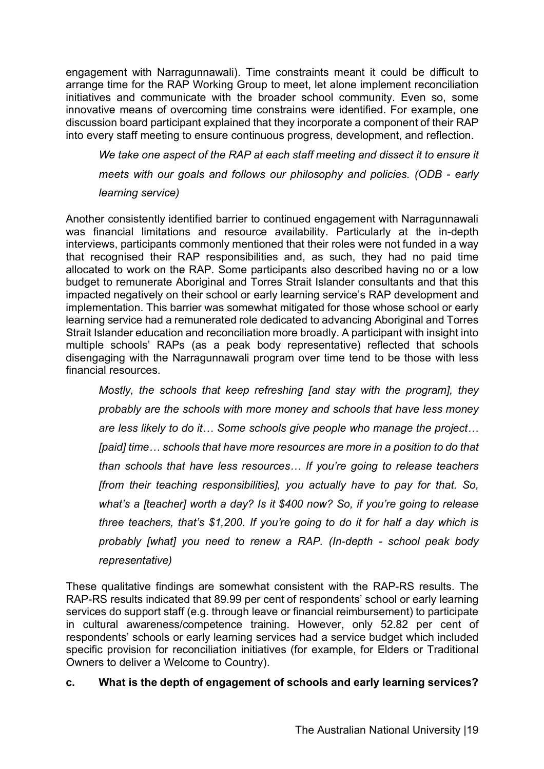engagement with Narragunnawali). Time constraints meant it could be difficult to arrange time for the RAP Working Group to meet, let alone implement reconciliation initiatives and communicate with the broader school community. Even so, some innovative means of overcoming time constrains were identified. For example, one discussion board participant explained that they incorporate a component of their RAP into every staff meeting to ensure continuous progress, development, and reflection.

We take one aspect of the RAP at each staff meeting and dissect it to ensure it *meets with our goals and follows our philosophy and policies. (ODB - early learning service)*

Another consistently identified barrier to continued engagement with Narragunnawali was financial limitations and resource availability. Particularly at the in-depth interviews, participants commonly mentioned that their roles were not funded in a way that recognised their RAP responsibilities and, as such, they had no paid time allocated to work on the RAP. Some participants also described having no or a low budget to remunerate Aboriginal and Torres Strait Islander consultants and that this impacted negatively on their school or early learning service's RAP development and implementation. This barrier was somewhat mitigated for those whose school or early learning service had a remunerated role dedicated to advancing Aboriginal and Torres Strait Islander education and reconciliation more broadly. A participant with insight into multiple schools' RAPs (as a peak body representative) reflected that schools disengaging with the Narragunnawali program over time tend to be those with less financial resources.

*Mostly, the schools that keep refreshing [and stay with the program], they probably are the schools with more money and schools that have less money are less likely to do it… Some schools give people who manage the project… [paid] time… schools that have more resources are more in a position to do that than schools that have less resources… If you're going to release teachers [from their teaching responsibilities], you actually have to pay for that. So, what's a [teacher] worth a day? Is it \$400 now? So, if you're going to release three teachers, that's \$1,200. If you're going to do it for half a day which is probably [what] you need to renew a RAP. (In-depth - school peak body representative)*

These qualitative findings are somewhat consistent with the RAP-RS results. The RAP-RS results indicated that 89.99 per cent of respondents' school or early learning services do support staff (e.g. through leave or financial reimbursement) to participate in cultural awareness/competence training. However, only 52.82 per cent of respondents' schools or early learning services had a service budget which included specific provision for reconciliation initiatives (for example, for Elders or Traditional Owners to deliver a Welcome to Country).

#### **c. What is the depth of engagement of schools and early learning services?**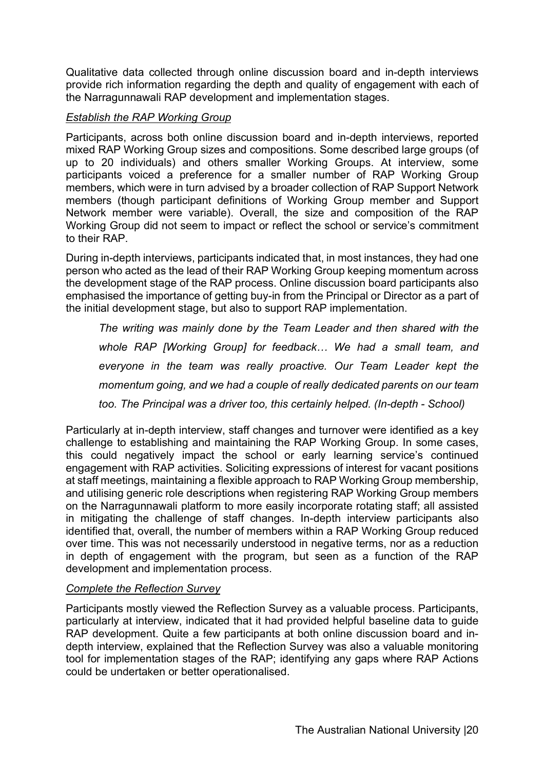Qualitative data collected through online discussion board and in-depth interviews provide rich information regarding the depth and quality of engagement with each of the Narragunnawali RAP development and implementation stages.

#### *Establish the RAP Working Group*

Participants, across both online discussion board and in-depth interviews, reported mixed RAP Working Group sizes and compositions. Some described large groups (of up to 20 individuals) and others smaller Working Groups. At interview, some participants voiced a preference for a smaller number of RAP Working Group members, which were in turn advised by a broader collection of RAP Support Network members (though participant definitions of Working Group member and Support Network member were variable). Overall, the size and composition of the RAP Working Group did not seem to impact or reflect the school or service's commitment to their RAP.

During in-depth interviews, participants indicated that, in most instances, they had one person who acted as the lead of their RAP Working Group keeping momentum across the development stage of the RAP process. Online discussion board participants also emphasised the importance of getting buy-in from the Principal or Director as a part of the initial development stage, but also to support RAP implementation.

*The writing was mainly done by the Team Leader and then shared with the whole RAP [Working Group] for feedback… We had a small team, and everyone in the team was really proactive. Our Team Leader kept the momentum going, and we had a couple of really dedicated parents on our team too. The Principal was a driver too, this certainly helped. (In-depth - School)*

Particularly at in-depth interview, staff changes and turnover were identified as a key challenge to establishing and maintaining the RAP Working Group. In some cases, this could negatively impact the school or early learning service's continued engagement with RAP activities. Soliciting expressions of interest for vacant positions at staff meetings, maintaining a flexible approach to RAP Working Group membership, and utilising generic role descriptions when registering RAP Working Group members on the Narragunnawali platform to more easily incorporate rotating staff; all assisted in mitigating the challenge of staff changes. In-depth interview participants also identified that, overall, the number of members within a RAP Working Group reduced over time. This was not necessarily understood in negative terms, nor as a reduction in depth of engagement with the program, but seen as a function of the RAP development and implementation process.

#### *Complete the Reflection Survey*

Participants mostly viewed the Reflection Survey as a valuable process. Participants, particularly at interview, indicated that it had provided helpful baseline data to guide RAP development. Quite a few participants at both online discussion board and indepth interview, explained that the Reflection Survey was also a valuable monitoring tool for implementation stages of the RAP; identifying any gaps where RAP Actions could be undertaken or better operationalised.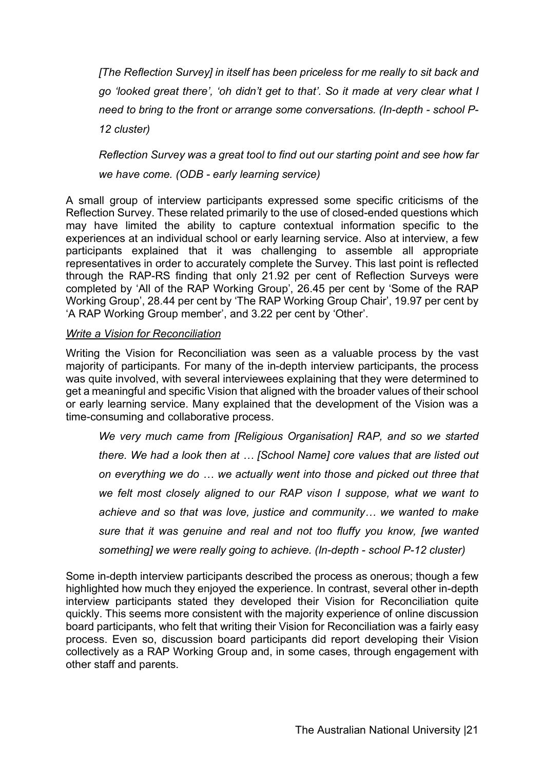*[The Reflection Survey] in itself has been priceless for me really to sit back and go 'looked great there', 'oh didn't get to that'. So it made at very clear what I need to bring to the front or arrange some conversations. (In-depth - school P-12 cluster)*

*Reflection Survey was a great tool to find out our starting point and see how far we have come. (ODB - early learning service)*

A small group of interview participants expressed some specific criticisms of the Reflection Survey. These related primarily to the use of closed-ended questions which may have limited the ability to capture contextual information specific to the experiences at an individual school or early learning service. Also at interview, a few participants explained that it was challenging to assemble all appropriate representatives in order to accurately complete the Survey. This last point is reflected through the RAP-RS finding that only 21.92 per cent of Reflection Surveys were completed by 'All of the RAP Working Group', 26.45 per cent by 'Some of the RAP Working Group', 28.44 per cent by 'The RAP Working Group Chair', 19.97 per cent by 'A RAP Working Group member', and 3.22 per cent by 'Other'.

#### *Write a Vision for Reconciliation*

Writing the Vision for Reconciliation was seen as a valuable process by the vast majority of participants. For many of the in-depth interview participants, the process was quite involved, with several interviewees explaining that they were determined to get a meaningful and specific Vision that aligned with the broader values of their school or early learning service. Many explained that the development of the Vision was a time-consuming and collaborative process.

*We very much came from [Religious Organisation] RAP, and so we started there. We had a look then at … [School Name] core values that are listed out on everything we do … we actually went into those and picked out three that we felt most closely aligned to our RAP vison I suppose, what we want to achieve and so that was love, justice and community… we wanted to make sure that it was genuine and real and not too fluffy you know, [we wanted something] we were really going to achieve. (In-depth - school P-12 cluster)*

Some in-depth interview participants described the process as onerous; though a few highlighted how much they enjoyed the experience. In contrast, several other in-depth interview participants stated they developed their Vision for Reconciliation quite quickly. This seems more consistent with the majority experience of online discussion board participants, who felt that writing their Vision for Reconciliation was a fairly easy process. Even so, discussion board participants did report developing their Vision collectively as a RAP Working Group and, in some cases, through engagement with other staff and parents.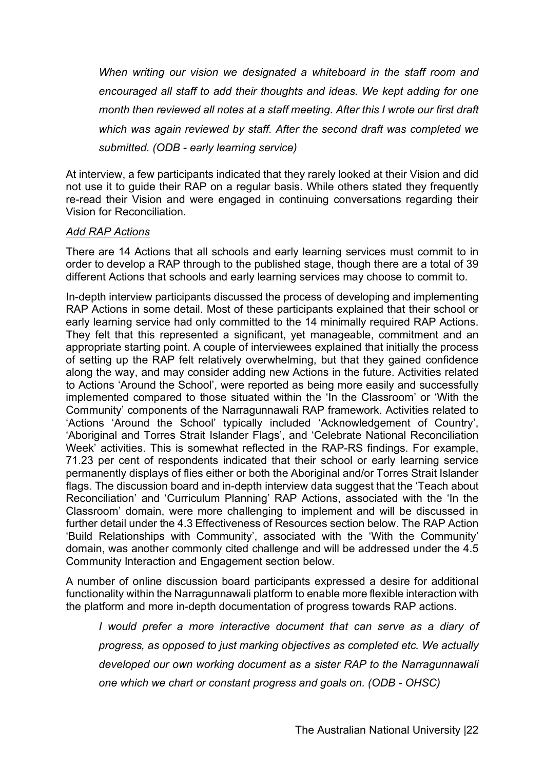*When writing our vision we designated a whiteboard in the staff room and encouraged all staff to add their thoughts and ideas. We kept adding for one month then reviewed all notes at a staff meeting. After this I wrote our first draft which was again reviewed by staff. After the second draft was completed we submitted. (ODB - early learning service)*

At interview, a few participants indicated that they rarely looked at their Vision and did not use it to guide their RAP on a regular basis. While others stated they frequently re-read their Vision and were engaged in continuing conversations regarding their Vision for Reconciliation.

#### *Add RAP Actions*

There are 14 Actions that all schools and early learning services must commit to in order to develop a RAP through to the published stage, though there are a total of 39 different Actions that schools and early learning services may choose to commit to.

In-depth interview participants discussed the process of developing and implementing RAP Actions in some detail. Most of these participants explained that their school or early learning service had only committed to the 14 minimally required RAP Actions. They felt that this represented a significant, yet manageable, commitment and an appropriate starting point. A couple of interviewees explained that initially the process of setting up the RAP felt relatively overwhelming, but that they gained confidence along the way, and may consider adding new Actions in the future. Activities related to Actions 'Around the School', were reported as being more easily and successfully implemented compared to those situated within the 'In the Classroom' or 'With the Community' components of the Narragunnawali RAP framework. Activities related to 'Actions 'Around the School' typically included 'Acknowledgement of Country', 'Aboriginal and Torres Strait Islander Flags', and 'Celebrate National Reconciliation Week' activities. This is somewhat reflected in the RAP-RS findings. For example, 71.23 per cent of respondents indicated that their school or early learning service permanently displays of flies either or both the Aboriginal and/or Torres Strait Islander flags. The discussion board and in-depth interview data suggest that the 'Teach about Reconciliation' and 'Curriculum Planning' RAP Actions, associated with the 'In the Classroom' domain, were more challenging to implement and will be discussed in further detail under the 4.3 Effectiveness of Resources section below. The RAP Action 'Build Relationships with Community', associated with the 'With the Community' domain, was another commonly cited challenge and will be addressed under the 4.5 Community Interaction and Engagement section below.

A number of online discussion board participants expressed a desire for additional functionality within the Narragunnawali platform to enable more flexible interaction with the platform and more in-depth documentation of progress towards RAP actions.

*I would prefer a more interactive document that can serve as a diary of progress, as opposed to just marking objectives as completed etc. We actually developed our own working document as a sister RAP to the Narragunnawali one which we chart or constant progress and goals on. (ODB - OHSC)*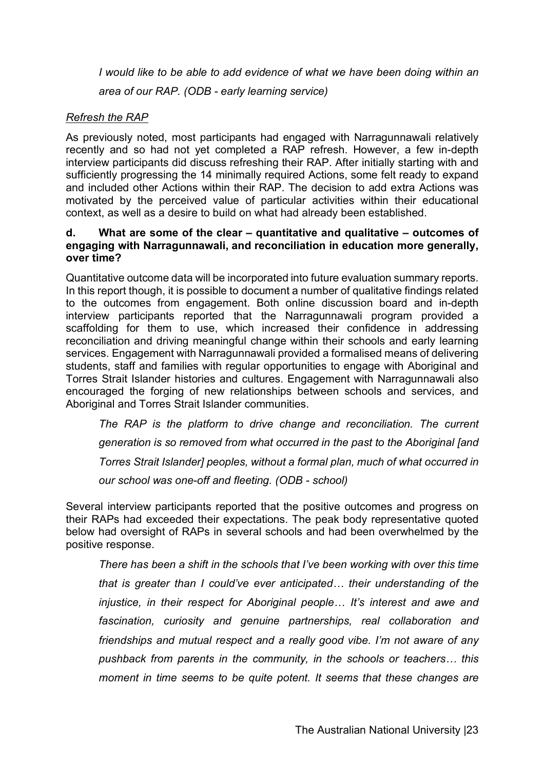*I* would like to be able to add evidence of what we have been doing within an *area of our RAP. (ODB - early learning service)*

#### *Refresh the RAP*

As previously noted, most participants had engaged with Narragunnawali relatively recently and so had not yet completed a RAP refresh. However, a few in-depth interview participants did discuss refreshing their RAP. After initially starting with and sufficiently progressing the 14 minimally required Actions, some felt ready to expand and included other Actions within their RAP. The decision to add extra Actions was motivated by the perceived value of particular activities within their educational context, as well as a desire to build on what had already been established.

#### **d. What are some of the clear – quantitative and qualitative – outcomes of engaging with Narragunnawali, and reconciliation in education more generally, over time?**

Quantitative outcome data will be incorporated into future evaluation summary reports. In this report though, it is possible to document a number of qualitative findings related to the outcomes from engagement. Both online discussion board and in-depth interview participants reported that the Narragunnawali program provided a scaffolding for them to use, which increased their confidence in addressing reconciliation and driving meaningful change within their schools and early learning services. Engagement with Narragunnawali provided a formalised means of delivering students, staff and families with regular opportunities to engage with Aboriginal and Torres Strait Islander histories and cultures. Engagement with Narragunnawali also encouraged the forging of new relationships between schools and services, and Aboriginal and Torres Strait Islander communities.

*The RAP is the platform to drive change and reconciliation. The current generation is so removed from what occurred in the past to the Aboriginal [and Torres Strait Islander] peoples, without a formal plan, much of what occurred in our school was one-off and fleeting. (ODB - school)*

Several interview participants reported that the positive outcomes and progress on their RAPs had exceeded their expectations. The peak body representative quoted below had oversight of RAPs in several schools and had been overwhelmed by the positive response.

*There has been a shift in the schools that I've been working with over this time that is greater than I could've ever anticipated… their understanding of the injustice, in their respect for Aboriginal people… It's interest and awe and fascination, curiosity and genuine partnerships, real collaboration and friendships and mutual respect and a really good vibe. I'm not aware of any pushback from parents in the community, in the schools or teachers… this moment in time seems to be quite potent. It seems that these changes are*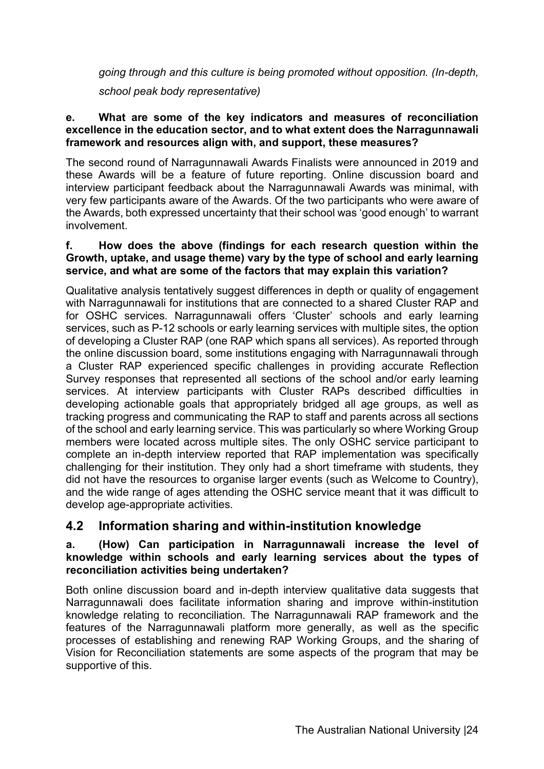*going through and this culture is being promoted without opposition. (In-depth,* 

*school peak body representative)*

#### **e. What are some of the key indicators and measures of reconciliation excellence in the education sector, and to what extent does the Narragunnawali framework and resources align with, and support, these measures?**

The second round of Narragunnawali Awards Finalists were announced in 2019 and these Awards will be a feature of future reporting. Online discussion board and interview participant feedback about the Narragunnawali Awards was minimal, with very few participants aware of the Awards. Of the two participants who were aware of the Awards, both expressed uncertainty that their school was 'good enough' to warrant involvement.

#### **f. How does the above (findings for each research question within the Growth, uptake, and usage theme) vary by the type of school and early learning service, and what are some of the factors that may explain this variation?**

Qualitative analysis tentatively suggest differences in depth or quality of engagement with Narragunnawali for institutions that are connected to a shared Cluster RAP and for OSHC services. Narragunnawali offers 'Cluster' schools and early learning services, such as P-12 schools or early learning services with multiple sites, the option of developing a Cluster RAP (one RAP which spans all services). As reported through the online discussion board, some institutions engaging with Narragunnawali through a Cluster RAP experienced specific challenges in providing accurate Reflection Survey responses that represented all sections of the school and/or early learning services. At interview participants with Cluster RAPs described difficulties in developing actionable goals that appropriately bridged all age groups, as well as tracking progress and communicating the RAP to staff and parents across all sections of the school and early learning service. This was particularly so where Working Group members were located across multiple sites. The only OSHC service participant to complete an in-depth interview reported that RAP implementation was specifically challenging for their institution. They only had a short timeframe with students, they did not have the resources to organise larger events (such as Welcome to Country), and the wide range of ages attending the OSHC service meant that it was difficult to develop age-appropriate activities.

## **4.2 Information sharing and within-institution knowledge**

#### **a. (How) Can participation in Narragunnawali increase the level of knowledge within schools and early learning services about the types of reconciliation activities being undertaken?**

Both online discussion board and in-depth interview qualitative data suggests that Narragunnawali does facilitate information sharing and improve within-institution knowledge relating to reconciliation. The Narragunnawali RAP framework and the features of the Narragunnawali platform more generally, as well as the specific processes of establishing and renewing RAP Working Groups, and the sharing of Vision for Reconciliation statements are some aspects of the program that may be supportive of this.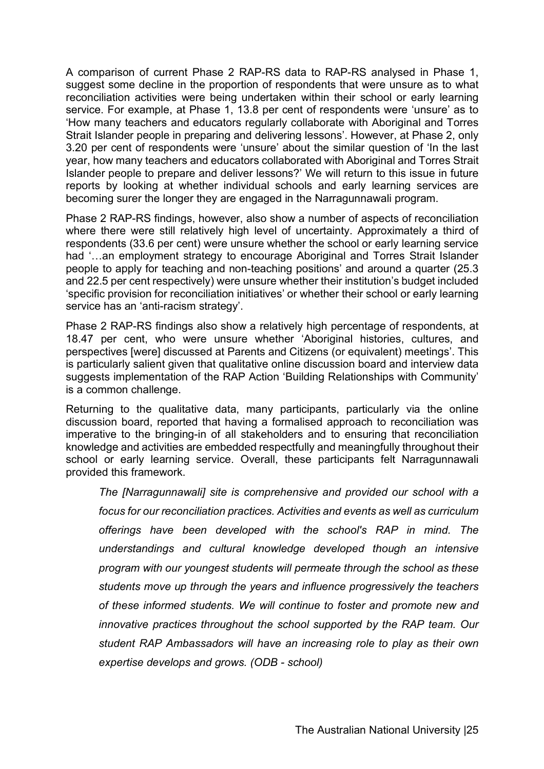A comparison of current Phase 2 RAP-RS data to RAP-RS analysed in Phase 1, suggest some decline in the proportion of respondents that were unsure as to what reconciliation activities were being undertaken within their school or early learning service. For example, at Phase 1, 13.8 per cent of respondents were 'unsure' as to 'How many teachers and educators regularly collaborate with Aboriginal and Torres Strait Islander people in preparing and delivering lessons'. However, at Phase 2, only 3.20 per cent of respondents were 'unsure' about the similar question of 'In the last year, how many teachers and educators collaborated with Aboriginal and Torres Strait Islander people to prepare and deliver lessons?' We will return to this issue in future reports by looking at whether individual schools and early learning services are becoming surer the longer they are engaged in the Narragunnawali program.

Phase 2 RAP-RS findings, however, also show a number of aspects of reconciliation where there were still relatively high level of uncertainty. Approximately a third of respondents (33.6 per cent) were unsure whether the school or early learning service had '...an employment strategy to encourage Aboriginal and Torres Strait Islander people to apply for teaching and non-teaching positions' and around a quarter (25.3 and 22.5 per cent respectively) were unsure whether their institution's budget included 'specific provision for reconciliation initiatives' or whether their school or early learning service has an 'anti-racism strategy'.

Phase 2 RAP-RS findings also show a relatively high percentage of respondents, at 18.47 per cent, who were unsure whether 'Aboriginal histories, cultures, and perspectives [were] discussed at Parents and Citizens (or equivalent) meetings'. This is particularly salient given that qualitative online discussion board and interview data suggests implementation of the RAP Action 'Building Relationships with Community' is a common challenge.

Returning to the qualitative data, many participants, particularly via the online discussion board, reported that having a formalised approach to reconciliation was imperative to the bringing-in of all stakeholders and to ensuring that reconciliation knowledge and activities are embedded respectfully and meaningfully throughout their school or early learning service. Overall, these participants felt Narragunnawali provided this framework.

*The [Narragunnawali] site is comprehensive and provided our school with a focus for our reconciliation practices. Activities and events as well as curriculum offerings have been developed with the school's RAP in mind. The understandings and cultural knowledge developed though an intensive program with our youngest students will permeate through the school as these students move up through the years and influence progressively the teachers of these informed students. We will continue to foster and promote new and innovative practices throughout the school supported by the RAP team. Our student RAP Ambassadors will have an increasing role to play as their own expertise develops and grows. (ODB - school)*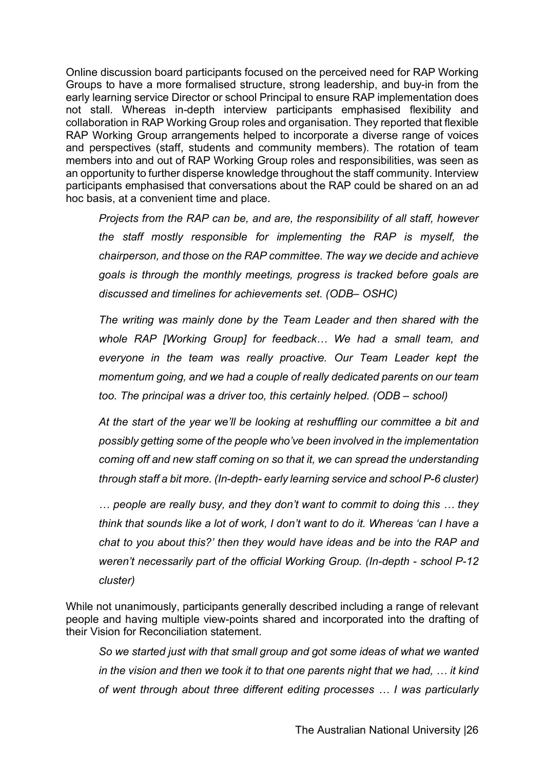Online discussion board participants focused on the perceived need for RAP Working Groups to have a more formalised structure, strong leadership, and buy-in from the early learning service Director or school Principal to ensure RAP implementation does not stall. Whereas in-depth interview participants emphasised flexibility and collaboration in RAP Working Group roles and organisation. They reported that flexible RAP Working Group arrangements helped to incorporate a diverse range of voices and perspectives (staff, students and community members). The rotation of team members into and out of RAP Working Group roles and responsibilities, was seen as an opportunity to further disperse knowledge throughout the staff community. Interview participants emphasised that conversations about the RAP could be shared on an ad hoc basis, at a convenient time and place.

*Projects from the RAP can be, and are, the responsibility of all staff, however the staff mostly responsible for implementing the RAP is myself, the chairperson, and those on the RAP committee. The way we decide and achieve goals is through the monthly meetings, progress is tracked before goals are discussed and timelines for achievements set. (ODB– OSHC)*

*The writing was mainly done by the Team Leader and then shared with the whole RAP [Working Group] for feedback… We had a small team, and everyone in the team was really proactive. Our Team Leader kept the momentum going, and we had a couple of really dedicated parents on our team too. The principal was a driver too, this certainly helped. (ODB – school)*

*At the start of the year we'll be looking at reshuffling our committee a bit and possibly getting some of the people who've been involved in the implementation coming off and new staff coming on so that it, we can spread the understanding through staff a bit more. (In-depth- early learning service and school P-6 cluster)*

*… people are really busy, and they don't want to commit to doing this … they think that sounds like a lot of work, I don't want to do it. Whereas 'can I have a chat to you about this?' then they would have ideas and be into the RAP and weren't necessarily part of the official Working Group. (In-depth - school P-12 cluster)*

While not unanimously, participants generally described including a range of relevant people and having multiple view-points shared and incorporated into the drafting of their Vision for Reconciliation statement.

*So we started just with that small group and got some ideas of what we wanted in the vision and then we took it to that one parents night that we had, … it kind of went through about three different editing processes … I was particularly*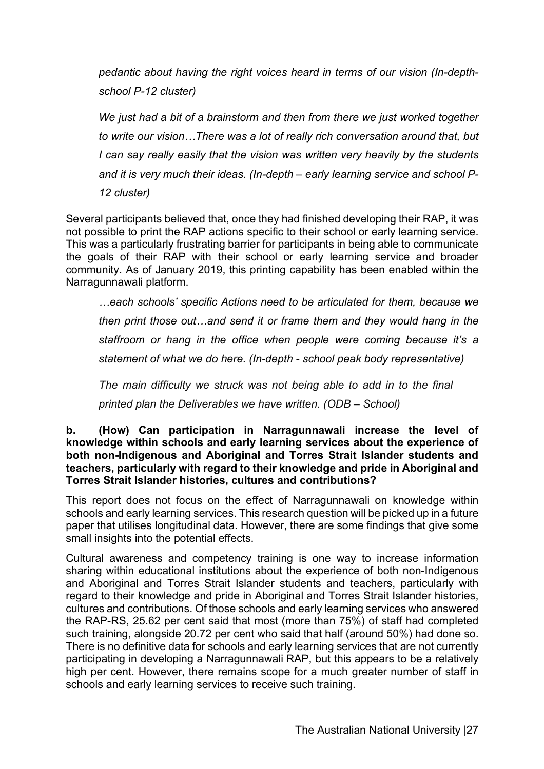*pedantic about having the right voices heard in terms of our vision (In-depthschool P-12 cluster)*

*We just had a bit of a brainstorm and then from there we just worked together to write our vision…There was a lot of really rich conversation around that, but I can say really easily that the vision was written very heavily by the students and it is very much their ideas. (In-depth – early learning service and school P-12 cluster)*

Several participants believed that, once they had finished developing their RAP, it was not possible to print the RAP actions specific to their school or early learning service. This was a particularly frustrating barrier for participants in being able to communicate the goals of their RAP with their school or early learning service and broader community. As of January 2019, this printing capability has been enabled within the Narragunnawali platform.

*…each schools' specific Actions need to be articulated for them, because we then print those out…and send it or frame them and they would hang in the staffroom or hang in the office when people were coming because it's a statement of what we do here. (In-depth - school peak body representative)*

*The main difficulty we struck was not being able to add in to the final printed plan the Deliverables we have written. (ODB – School)*

#### **b. (How) Can participation in Narragunnawali increase the level of knowledge within schools and early learning services about the experience of both non-Indigenous and Aboriginal and Torres Strait Islander students and teachers, particularly with regard to their knowledge and pride in Aboriginal and Torres Strait Islander histories, cultures and contributions?**

This report does not focus on the effect of Narragunnawali on knowledge within schools and early learning services. This research question will be picked up in a future paper that utilises longitudinal data. However, there are some findings that give some small insights into the potential effects.

Cultural awareness and competency training is one way to increase information sharing within educational institutions about the experience of both non-Indigenous and Aboriginal and Torres Strait Islander students and teachers, particularly with regard to their knowledge and pride in Aboriginal and Torres Strait Islander histories, cultures and contributions. Of those schools and early learning services who answered the RAP-RS, 25.62 per cent said that most (more than 75%) of staff had completed such training, alongside 20.72 per cent who said that half (around 50%) had done so. There is no definitive data for schools and early learning services that are not currently participating in developing a Narragunnawali RAP, but this appears to be a relatively high per cent. However, there remains scope for a much greater number of staff in schools and early learning services to receive such training.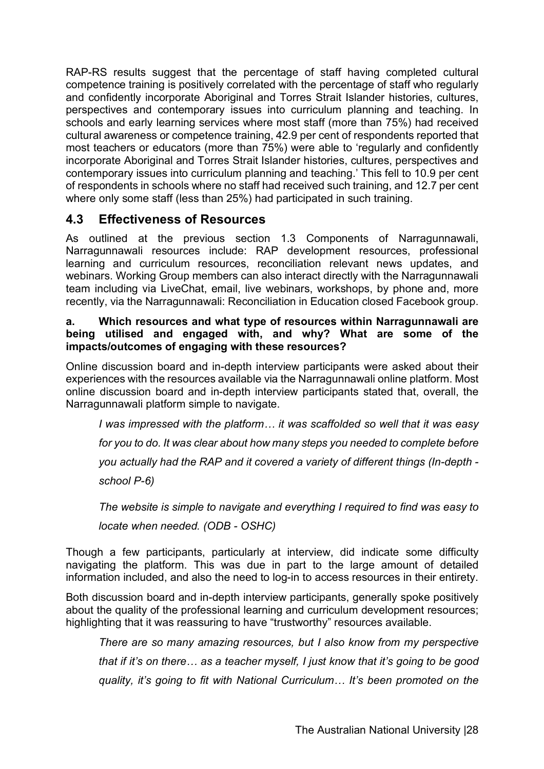RAP-RS results suggest that the percentage of staff having completed cultural competence training is positively correlated with the percentage of staff who regularly and confidently incorporate Aboriginal and Torres Strait Islander histories, cultures, perspectives and contemporary issues into curriculum planning and teaching. In schools and early learning services where most staff (more than 75%) had received cultural awareness or competence training, 42.9 per cent of respondents reported that most teachers or educators (more than 75%) were able to 'regularly and confidently incorporate Aboriginal and Torres Strait Islander histories, cultures, perspectives and contemporary issues into curriculum planning and teaching.' This fell to 10.9 per cent of respondents in schools where no staff had received such training, and 12.7 per cent where only some staff (less than 25%) had participated in such training.

## **4.3 Effectiveness of Resources**

As outlined at the previous section 1.3 Components of Narragunnawali, Narragunnawali resources include: RAP development resources, professional learning and curriculum resources, reconciliation relevant news updates, and webinars. Working Group members can also interact directly with the Narragunnawali team including via LiveChat, email, live webinars, workshops, by phone and, more recently, via the Narragunnawali: Reconciliation in Education closed Facebook group.

#### **a. Which resources and what type of resources within Narragunnawali are being utilised and engaged with, and why? What are some of the impacts/outcomes of engaging with these resources?**

Online discussion board and in-depth interview participants were asked about their experiences with the resources available via the Narragunnawali online platform. Most online discussion board and in-depth interview participants stated that, overall, the Narragunnawali platform simple to navigate.

*I was impressed with the platform… it was scaffolded so well that it was easy for you to do. It was clear about how many steps you needed to complete before you actually had the RAP and it covered a variety of different things (In-depth school P-6)*

*The website is simple to navigate and everything I required to find was easy to locate when needed. (ODB - OSHC)*

Though a few participants, particularly at interview, did indicate some difficulty navigating the platform. This was due in part to the large amount of detailed information included, and also the need to log-in to access resources in their entirety.

Both discussion board and in-depth interview participants, generally spoke positively about the quality of the professional learning and curriculum development resources; highlighting that it was reassuring to have "trustworthy" resources available.

*There are so many amazing resources, but I also know from my perspective that if it's on there… as a teacher myself, I just know that it's going to be good quality, it's going to fit with National Curriculum… It's been promoted on the*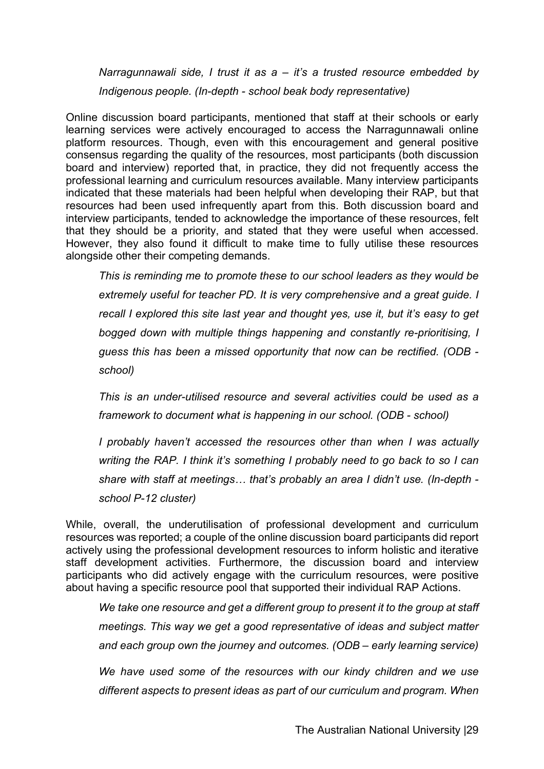*Narragunnawali side, I trust it as a – it's a trusted resource embedded by Indigenous people. (In-depth - school beak body representative)*

Online discussion board participants, mentioned that staff at their schools or early learning services were actively encouraged to access the Narragunnawali online platform resources. Though, even with this encouragement and general positive consensus regarding the quality of the resources, most participants (both discussion board and interview) reported that, in practice, they did not frequently access the professional learning and curriculum resources available. Many interview participants indicated that these materials had been helpful when developing their RAP, but that resources had been used infrequently apart from this. Both discussion board and interview participants, tended to acknowledge the importance of these resources, felt that they should be a priority, and stated that they were useful when accessed. However, they also found it difficult to make time to fully utilise these resources alongside other their competing demands.

*This is reminding me to promote these to our school leaders as they would be extremely useful for teacher PD. It is very comprehensive and a great guide. I recall I explored this site last year and thought yes, use it, but it's easy to get bogged down with multiple things happening and constantly re-prioritising, I guess this has been a missed opportunity that now can be rectified. (ODB school)*

*This is an under-utilised resource and several activities could be used as a framework to document what is happening in our school. (ODB - school)*

*I probably haven't accessed the resources other than when I was actually writing the RAP. I think it's something I probably need to go back to so I can share with staff at meetings… that's probably an area I didn't use. (In-depth school P-12 cluster)*

While, overall, the underutilisation of professional development and curriculum resources was reported; a couple of the online discussion board participants did report actively using the professional development resources to inform holistic and iterative staff development activities. Furthermore, the discussion board and interview participants who did actively engage with the curriculum resources, were positive about having a specific resource pool that supported their individual RAP Actions.

*We take one resource and get a different group to present it to the group at staff meetings. This way we get a good representative of ideas and subject matter and each group own the journey and outcomes. (ODB – early learning service)* 

*We have used some of the resources with our kindy children and we use different aspects to present ideas as part of our curriculum and program. When*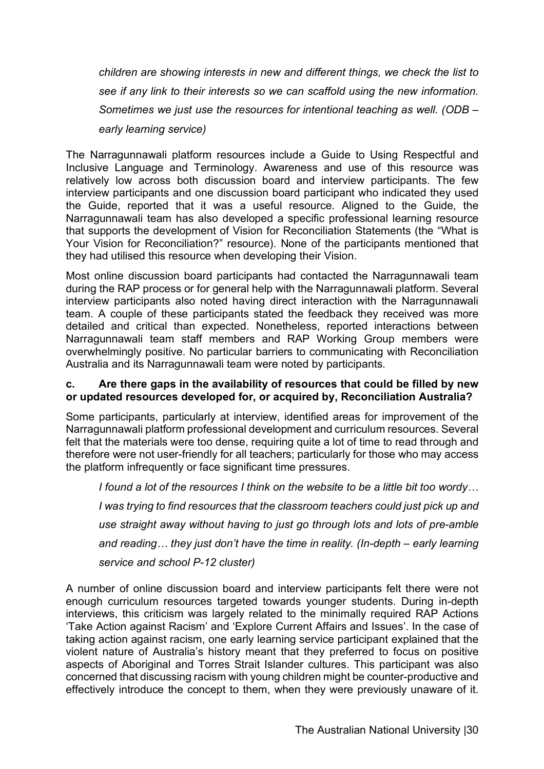*children are showing interests in new and different things, we check the list to see if any link to their interests so we can scaffold using the new information. Sometimes we just use the resources for intentional teaching as well. (ODB – early learning service)*

The Narragunnawali platform resources include a Guide to Using Respectful and Inclusive Language and Terminology. Awareness and use of this resource was relatively low across both discussion board and interview participants. The few interview participants and one discussion board participant who indicated they used the Guide, reported that it was a useful resource. Aligned to the Guide, the Narragunnawali team has also developed a specific professional learning resource that supports the development of Vision for Reconciliation Statements (the "What is Your Vision for Reconciliation?" resource). None of the participants mentioned that they had utilised this resource when developing their Vision.

Most online discussion board participants had contacted the Narragunnawali team during the RAP process or for general help with the Narragunnawali platform. Several interview participants also noted having direct interaction with the Narragunnawali team. A couple of these participants stated the feedback they received was more detailed and critical than expected. Nonetheless, reported interactions between Narragunnawali team staff members and RAP Working Group members were overwhelmingly positive. No particular barriers to communicating with Reconciliation Australia and its Narragunnawali team were noted by participants.

#### **c. Are there gaps in the availability of resources that could be filled by new or updated resources developed for, or acquired by, Reconciliation Australia?**

Some participants, particularly at interview, identified areas for improvement of the Narragunnawali platform professional development and curriculum resources. Several felt that the materials were too dense, requiring quite a lot of time to read through and therefore were not user-friendly for all teachers; particularly for those who may access the platform infrequently or face significant time pressures.

*I found a lot of the resources I think on the website to be a little bit too wordy… I was trying to find resources that the classroom teachers could just pick up and use straight away without having to just go through lots and lots of pre-amble and reading… they just don't have the time in reality. (In-depth – early learning service and school P-12 cluster)*

A number of online discussion board and interview participants felt there were not enough curriculum resources targeted towards younger students. During in-depth interviews, this criticism was largely related to the minimally required RAP Actions 'Take Action against Racism' and 'Explore Current Affairs and Issues'. In the case of taking action against racism, one early learning service participant explained that the violent nature of Australia's history meant that they preferred to focus on positive aspects of Aboriginal and Torres Strait Islander cultures. This participant was also concerned that discussing racism with young children might be counter-productive and effectively introduce the concept to them, when they were previously unaware of it.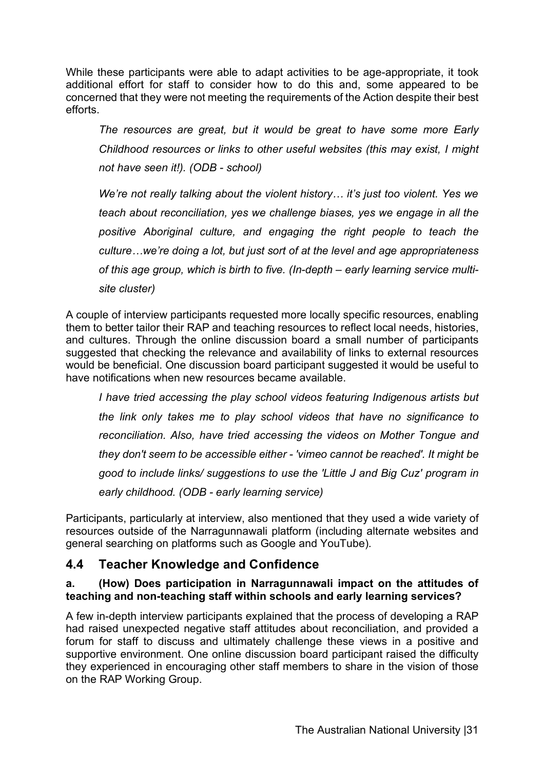While these participants were able to adapt activities to be age-appropriate, it took additional effort for staff to consider how to do this and, some appeared to be concerned that they were not meeting the requirements of the Action despite their best efforts.

*The resources are great, but it would be great to have some more Early Childhood resources or links to other useful websites (this may exist, I might not have seen it!). (ODB - school)*

*We're not really talking about the violent history… it's just too violent. Yes we teach about reconciliation, yes we challenge biases, yes we engage in all the positive Aboriginal culture, and engaging the right people to teach the culture…we're doing a lot, but just sort of at the level and age appropriateness of this age group, which is birth to five. (In-depth – early learning service multisite cluster)*

A couple of interview participants requested more locally specific resources, enabling them to better tailor their RAP and teaching resources to reflect local needs, histories, and cultures. Through the online discussion board a small number of participants suggested that checking the relevance and availability of links to external resources would be beneficial. One discussion board participant suggested it would be useful to have notifications when new resources became available.

*I have tried accessing the play school videos featuring Indigenous artists but the link only takes me to play school videos that have no significance to reconciliation. Also, have tried accessing the videos on Mother Tongue and they don't seem to be accessible either - 'vimeo cannot be reached'. It might be good to include links/ suggestions to use the 'Little J and Big Cuz' program in early childhood. (ODB - early learning service)*

Participants, particularly at interview, also mentioned that they used a wide variety of resources outside of the Narragunnawali platform (including alternate websites and general searching on platforms such as Google and YouTube).

## **4.4 Teacher Knowledge and Confidence**

#### **a. (How) Does participation in Narragunnawali impact on the attitudes of teaching and non-teaching staff within schools and early learning services?**

A few in-depth interview participants explained that the process of developing a RAP had raised unexpected negative staff attitudes about reconciliation, and provided a forum for staff to discuss and ultimately challenge these views in a positive and supportive environment. One online discussion board participant raised the difficulty they experienced in encouraging other staff members to share in the vision of those on the RAP Working Group.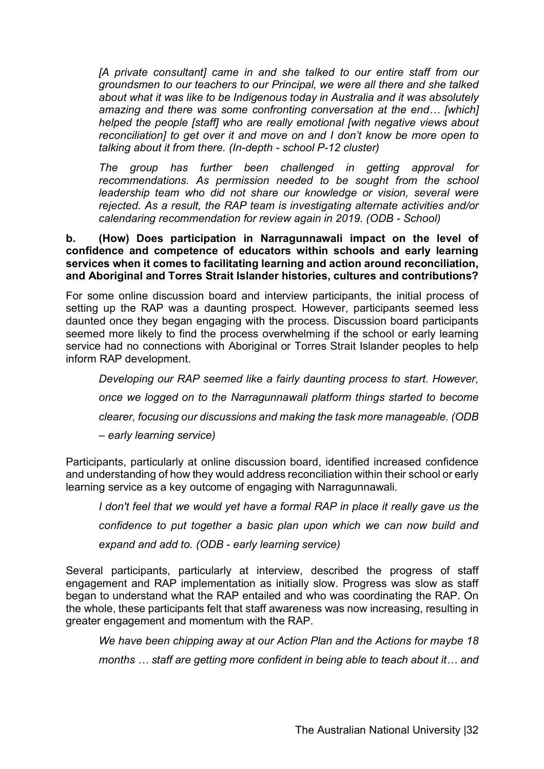*[A private consultant] came in and she talked to our entire staff from our groundsmen to our teachers to our Principal, we were all there and she talked about what it was like to be Indigenous today in Australia and it was absolutely amazing and there was some confronting conversation at the end… [which] helped the people [staff] who are really emotional [with negative views about reconciliation] to get over it and move on and I don't know be more open to talking about it from there. (In-depth - school P-12 cluster)*

*The group has further been challenged in getting approval for recommendations. As permission needed to be sought from the school leadership team who did not share our knowledge or vision, several were rejected. As a result, the RAP team is investigating alternate activities and/or calendaring recommendation for review again in 2019. (ODB - School)* 

#### **b. (How) Does participation in Narragunnawali impact on the level of confidence and competence of educators within schools and early learning services when it comes to facilitating learning and action around reconciliation, and Aboriginal and Torres Strait Islander histories, cultures and contributions?**

For some online discussion board and interview participants, the initial process of setting up the RAP was a daunting prospect. However, participants seemed less daunted once they began engaging with the process. Discussion board participants seemed more likely to find the process overwhelming if the school or early learning service had no connections with Aboriginal or Torres Strait Islander peoples to help inform RAP development.

*Developing our RAP seemed like a fairly daunting process to start. However, once we logged on to the Narragunnawali platform things started to become clearer, focusing our discussions and making the task more manageable. (ODB – early learning service)*

Participants, particularly at online discussion board, identified increased confidence and understanding of how they would address reconciliation within their school or early learning service as a key outcome of engaging with Narragunnawali.

*I* don't feel that we would yet have a formal RAP in place it really gave us the *confidence to put together a basic plan upon which we can now build and expand and add to. (ODB - early learning service)*

Several participants, particularly at interview, described the progress of staff engagement and RAP implementation as initially slow. Progress was slow as staff began to understand what the RAP entailed and who was coordinating the RAP. On the whole, these participants felt that staff awareness was now increasing, resulting in greater engagement and momentum with the RAP.

*We have been chipping away at our Action Plan and the Actions for maybe 18 months … staff are getting more confident in being able to teach about it… and*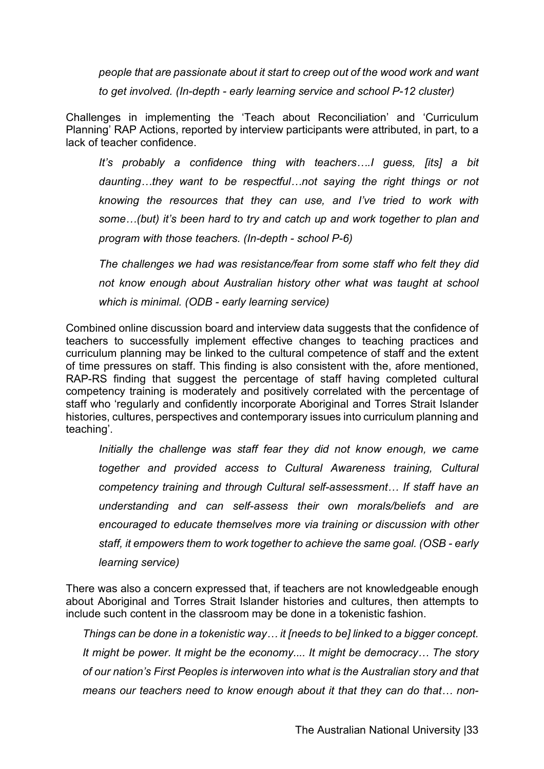*people that are passionate about it start to creep out of the wood work and want to get involved. (In-depth - early learning service and school P-12 cluster)*

Challenges in implementing the 'Teach about Reconciliation' and 'Curriculum Planning' RAP Actions, reported by interview participants were attributed, in part, to a lack of teacher confidence.

*It's probably a confidence thing with teachers….I guess, [its] a bit daunting…they want to be respectful…not saying the right things or not knowing the resources that they can use, and I've tried to work with some…(but) it's been hard to try and catch up and work together to plan and program with those teachers. (In-depth - school P-6)*

*The challenges we had was resistance/fear from some staff who felt they did not know enough about Australian history other what was taught at school which is minimal. (ODB - early learning service)*

Combined online discussion board and interview data suggests that the confidence of teachers to successfully implement effective changes to teaching practices and curriculum planning may be linked to the cultural competence of staff and the extent of time pressures on staff. This finding is also consistent with the, afore mentioned, RAP-RS finding that suggest the percentage of staff having completed cultural competency training is moderately and positively correlated with the percentage of staff who 'regularly and confidently incorporate Aboriginal and Torres Strait Islander histories, cultures, perspectives and contemporary issues into curriculum planning and teaching'.

*Initially the challenge was staff fear they did not know enough, we came together and provided access to Cultural Awareness training, Cultural competency training and through Cultural self-assessment… If staff have an understanding and can self-assess their own morals/beliefs and are encouraged to educate themselves more via training or discussion with other staff, it empowers them to work together to achieve the same goal. (OSB - early learning service)*

There was also a concern expressed that, if teachers are not knowledgeable enough about Aboriginal and Torres Strait Islander histories and cultures, then attempts to include such content in the classroom may be done in a tokenistic fashion.

*Things can be done in a tokenistic way… it [needs to be] linked to a bigger concept. It might be power. It might be the economy.... It might be democracy… The story of our nation's First Peoples is interwoven into what is the Australian story and that means our teachers need to know enough about it that they can do that… non-*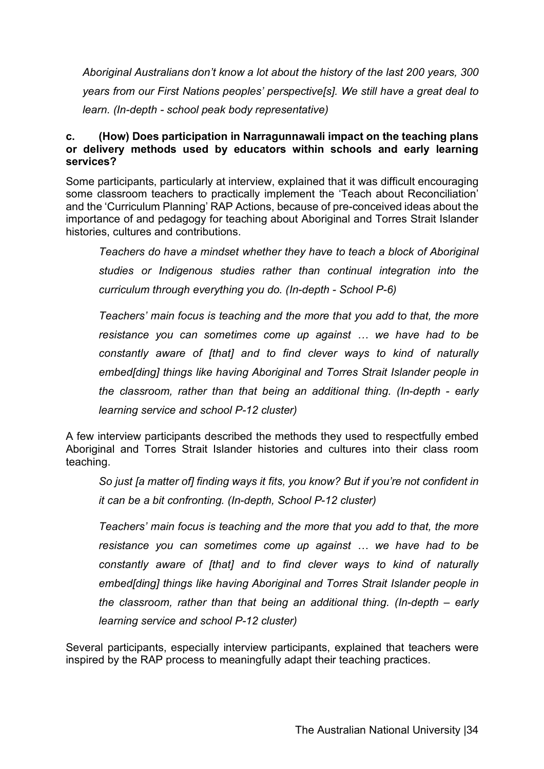*Aboriginal Australians don't know a lot about the history of the last 200 years, 300 years from our First Nations peoples' perspective[s]. We still have a great deal to learn. (In-depth - school peak body representative)*

#### **c. (How) Does participation in Narragunnawali impact on the teaching plans or delivery methods used by educators within schools and early learning services?**

Some participants, particularly at interview, explained that it was difficult encouraging some classroom teachers to practically implement the 'Teach about Reconciliation' and the 'Curriculum Planning' RAP Actions, because of pre-conceived ideas about the importance of and pedagogy for teaching about Aboriginal and Torres Strait Islander histories, cultures and contributions.

*Teachers do have a mindset whether they have to teach a block of Aboriginal studies or Indigenous studies rather than continual integration into the curriculum through everything you do. (In-depth - School P-6)*

*Teachers' main focus is teaching and the more that you add to that, the more resistance you can sometimes come up against … we have had to be constantly aware of [that] and to find clever ways to kind of naturally embed[ding] things like having Aboriginal and Torres Strait Islander people in the classroom, rather than that being an additional thing. (In-depth - early learning service and school P-12 cluster)*

A few interview participants described the methods they used to respectfully embed Aboriginal and Torres Strait Islander histories and cultures into their class room teaching.

*So just [a matter of] finding ways it fits, you know? But if you're not confident in it can be a bit confronting. (In-depth, School P-12 cluster)*

*Teachers' main focus is teaching and the more that you add to that, the more resistance you can sometimes come up against … we have had to be constantly aware of [that] and to find clever ways to kind of naturally embed[ding] things like having Aboriginal and Torres Strait Islander people in the classroom, rather than that being an additional thing. (In-depth – early learning service and school P-12 cluster)*

Several participants, especially interview participants, explained that teachers were inspired by the RAP process to meaningfully adapt their teaching practices.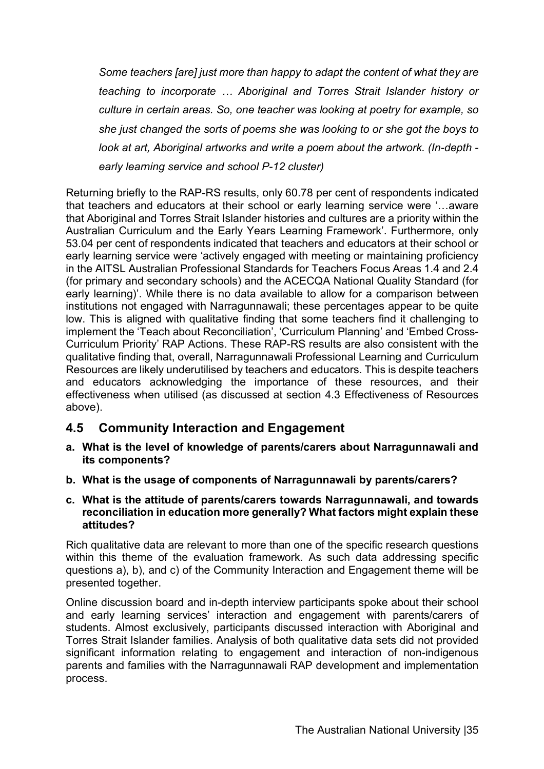*Some teachers [are] just more than happy to adapt the content of what they are teaching to incorporate … Aboriginal and Torres Strait Islander history or culture in certain areas. So, one teacher was looking at poetry for example, so she just changed the sorts of poems she was looking to or she got the boys to look at art, Aboriginal artworks and write a poem about the artwork. (In-depth early learning service and school P-12 cluster)*

Returning briefly to the RAP-RS results, only 60.78 per cent of respondents indicated that teachers and educators at their school or early learning service were '…aware that Aboriginal and Torres Strait Islander histories and cultures are a priority within the Australian Curriculum and the Early Years Learning Framework'. Furthermore, only 53.04 per cent of respondents indicated that teachers and educators at their school or early learning service were 'actively engaged with meeting or maintaining proficiency in the AITSL Australian Professional Standards for Teachers Focus Areas 1.4 and 2.4 (for primary and secondary schools) and the ACECQA National Quality Standard (for early learning)'. While there is no data available to allow for a comparison between institutions not engaged with Narragunnawali; these percentages appear to be quite low. This is aligned with qualitative finding that some teachers find it challenging to implement the 'Teach about Reconciliation', 'Curriculum Planning' and 'Embed Cross-Curriculum Priority' RAP Actions. These RAP-RS results are also consistent with the qualitative finding that, overall, Narragunnawali Professional Learning and Curriculum Resources are likely underutilised by teachers and educators. This is despite teachers and educators acknowledging the importance of these resources, and their effectiveness when utilised (as discussed at section 4.3 Effectiveness of Resources above).

## **4.5 Community Interaction and Engagement**

- **a. What is the level of knowledge of parents/carers about Narragunnawali and its components?**
- **b. What is the usage of components of Narragunnawali by parents/carers?**
- **c. What is the attitude of parents/carers towards Narragunnawali, and towards reconciliation in education more generally? What factors might explain these attitudes?**

Rich qualitative data are relevant to more than one of the specific research questions within this theme of the evaluation framework. As such data addressing specific questions a), b), and c) of the Community Interaction and Engagement theme will be presented together.

Online discussion board and in-depth interview participants spoke about their school and early learning services' interaction and engagement with parents/carers of students. Almost exclusively, participants discussed interaction with Aboriginal and Torres Strait Islander families. Analysis of both qualitative data sets did not provided significant information relating to engagement and interaction of non-indigenous parents and families with the Narragunnawali RAP development and implementation process.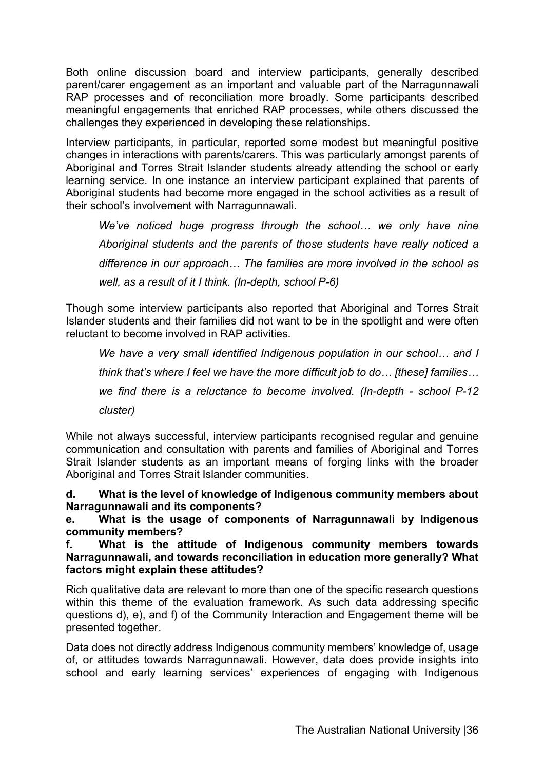Both online discussion board and interview participants, generally described parent/carer engagement as an important and valuable part of the Narragunnawali RAP processes and of reconciliation more broadly. Some participants described meaningful engagements that enriched RAP processes, while others discussed the challenges they experienced in developing these relationships.

Interview participants, in particular, reported some modest but meaningful positive changes in interactions with parents/carers. This was particularly amongst parents of Aboriginal and Torres Strait Islander students already attending the school or early learning service. In one instance an interview participant explained that parents of Aboriginal students had become more engaged in the school activities as a result of their school's involvement with Narragunnawali.

*We've noticed huge progress through the school… we only have nine Aboriginal students and the parents of those students have really noticed a difference in our approach… The families are more involved in the school as well, as a result of it I think. (In-depth, school P-6)*

Though some interview participants also reported that Aboriginal and Torres Strait Islander students and their families did not want to be in the spotlight and were often reluctant to become involved in RAP activities.

*We have a very small identified Indigenous population in our school… and I think that's where I feel we have the more difficult job to do… [these] families… we find there is a reluctance to become involved. (In-depth - school P-12 cluster)*

While not always successful, interview participants recognised regular and genuine communication and consultation with parents and families of Aboriginal and Torres Strait Islander students as an important means of forging links with the broader Aboriginal and Torres Strait Islander communities.

**d. What is the level of knowledge of Indigenous community members about Narragunnawali and its components?** 

**e. What is the usage of components of Narragunnawali by Indigenous community members?** 

**f. What is the attitude of Indigenous community members towards Narragunnawali, and towards reconciliation in education more generally? What factors might explain these attitudes?**

Rich qualitative data are relevant to more than one of the specific research questions within this theme of the evaluation framework. As such data addressing specific questions d), e), and f) of the Community Interaction and Engagement theme will be presented together.

Data does not directly address Indigenous community members' knowledge of, usage of, or attitudes towards Narragunnawali. However, data does provide insights into school and early learning services' experiences of engaging with Indigenous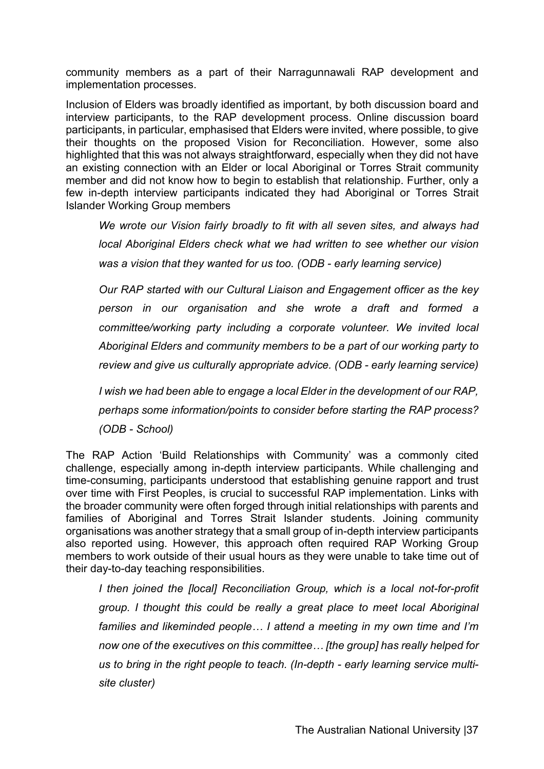community members as a part of their Narragunnawali RAP development and implementation processes.

Inclusion of Elders was broadly identified as important, by both discussion board and interview participants, to the RAP development process. Online discussion board participants, in particular, emphasised that Elders were invited, where possible, to give their thoughts on the proposed Vision for Reconciliation. However, some also highlighted that this was not always straightforward, especially when they did not have an existing connection with an Elder or local Aboriginal or Torres Strait community member and did not know how to begin to establish that relationship. Further, only a few in-depth interview participants indicated they had Aboriginal or Torres Strait Islander Working Group members

*We wrote our Vision fairly broadly to fit with all seven sites, and always had local Aboriginal Elders check what we had written to see whether our vision was a vision that they wanted for us too. (ODB - early learning service)*

*Our RAP started with our Cultural Liaison and Engagement officer as the key person in our organisation and she wrote a draft and formed a committee/working party including a corporate volunteer. We invited local Aboriginal Elders and community members to be a part of our working party to review and give us culturally appropriate advice. (ODB - early learning service)*

*I wish we had been able to engage a local Elder in the development of our RAP, perhaps some information/points to consider before starting the RAP process? (ODB - School)*

The RAP Action 'Build Relationships with Community' was a commonly cited challenge, especially among in-depth interview participants. While challenging and time-consuming, participants understood that establishing genuine rapport and trust over time with First Peoples, is crucial to successful RAP implementation. Links with the broader community were often forged through initial relationships with parents and families of Aboriginal and Torres Strait Islander students. Joining community organisations was another strategy that a small group of in-depth interview participants also reported using. However, this approach often required RAP Working Group members to work outside of their usual hours as they were unable to take time out of their day-to-day teaching responsibilities.

*I then joined the [local] Reconciliation Group, which is a local not-for-profit group. I thought this could be really a great place to meet local Aboriginal families and likeminded people… I attend a meeting in my own time and I'm now one of the executives on this committee… [the group] has really helped for us to bring in the right people to teach. (In-depth - early learning service multisite cluster)*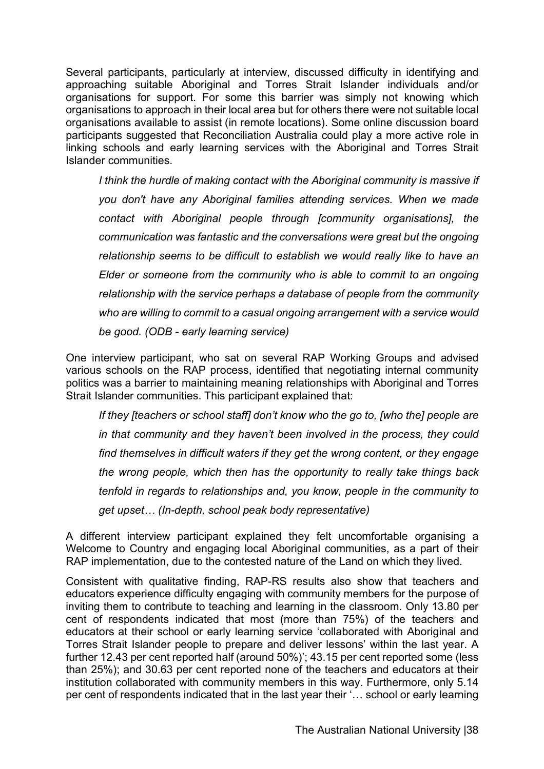Several participants, particularly at interview, discussed difficulty in identifying and approaching suitable Aboriginal and Torres Strait Islander individuals and/or organisations for support. For some this barrier was simply not knowing which organisations to approach in their local area but for others there were not suitable local organisations available to assist (in remote locations). Some online discussion board participants suggested that Reconciliation Australia could play a more active role in linking schools and early learning services with the Aboriginal and Torres Strait Islander communities.

*I think the hurdle of making contact with the Aboriginal community is massive if you don't have any Aboriginal families attending services. When we made contact with Aboriginal people through [community organisations], the communication was fantastic and the conversations were great but the ongoing relationship seems to be difficult to establish we would really like to have an Elder or someone from the community who is able to commit to an ongoing relationship with the service perhaps a database of people from the community who are willing to commit to a casual ongoing arrangement with a service would be good. (ODB - early learning service)*

One interview participant, who sat on several RAP Working Groups and advised various schools on the RAP process, identified that negotiating internal community politics was a barrier to maintaining meaning relationships with Aboriginal and Torres Strait Islander communities. This participant explained that:

*If they [teachers or school staff] don't know who the go to, [who the] people are in that community and they haven't been involved in the process, they could find themselves in difficult waters if they get the wrong content, or they engage the wrong people, which then has the opportunity to really take things back tenfold in regards to relationships and, you know, people in the community to get upset… (In-depth, school peak body representative)*

A different interview participant explained they felt uncomfortable organising a Welcome to Country and engaging local Aboriginal communities, as a part of their RAP implementation, due to the contested nature of the Land on which they lived.

Consistent with qualitative finding, RAP-RS results also show that teachers and educators experience difficulty engaging with community members for the purpose of inviting them to contribute to teaching and learning in the classroom. Only 13.80 per cent of respondents indicated that most (more than 75%) of the teachers and educators at their school or early learning service 'collaborated with Aboriginal and Torres Strait Islander people to prepare and deliver lessons' within the last year. A further 12.43 per cent reported half (around 50%)'; 43.15 per cent reported some (less than 25%); and 30.63 per cent reported none of the teachers and educators at their institution collaborated with community members in this way. Furthermore, only 5.14 per cent of respondents indicated that in the last year their '… school or early learning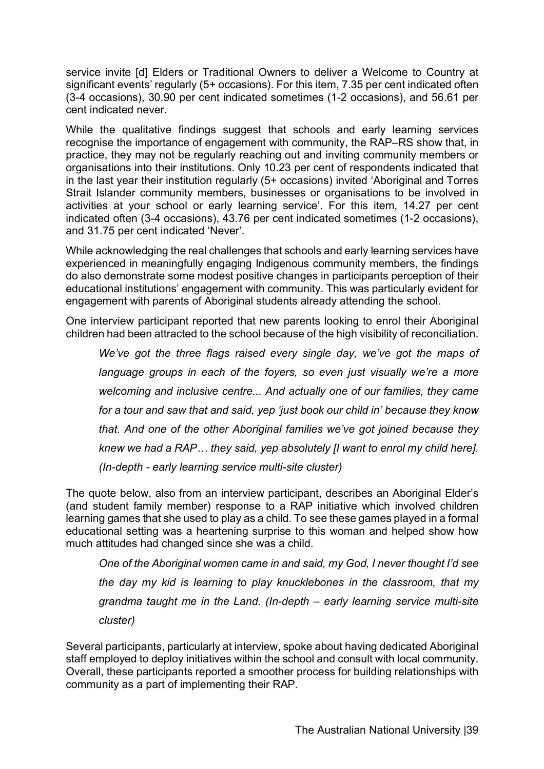service invite [d] Elders or Traditional Owners to deliver a Welcome to Country at significant events' regularly (5+ occasions). For this item, 7.35 per cent indicated often (3-4 occasions), 30.90 per cent indicated sometimes (1-2 occasions), and 56.61 per cent indicated never.

While the qualitative findings suggest that schools and early learning services recognise the importance of engagement with community, the RAP–RS show that, in practice, they may not be regularly reaching out and inviting community members or organisations into their institutions. Only 10.23 per cent of respondents indicated that in the last year their institution regularly (5+ occasions) invited 'Aboriginal and Torres Strait Islander community members, businesses or organisations to be involved in activities at your school or early learning service'. For this item, 14.27 per cent indicated often (3-4 occasions), 43.76 per cent indicated sometimes (1-2 occasions), and 31.75 per cent indicated 'Never'.

While acknowledging the real challenges that schools and early learning services have experienced in meaningfully engaging Indigenous community members, the findings do also demonstrate some modest positive changes in participants perception of their educational institutions' engagement with community. This was particularly evident for engagement with parents of Aboriginal students already attending the school.

One interview participant reported that new parents looking to enrol their Aboriginal children had been attracted to the school because of the high visibility of reconciliation.

*We've got the three flags raised every single day, we've got the maps of language groups in each of the foyers, so even just visually we're a more welcoming and inclusive centre... And actually one of our families, they came for a tour and saw that and said, yep 'just book our child in' because they know that. And one of the other Aboriginal families we've got joined because they knew we had a RAP… they said, yep absolutely [I want to enrol my child here]. (In-depth - early learning service multi-site cluster)*

The quote below, also from an interview participant, describes an Aboriginal Elder's (and student family member) response to a RAP initiative which involved children learning games that she used to play as a child. To see these games played in a formal educational setting was a heartening surprise to this woman and helped show how much attitudes had changed since she was a child.

*One of the Aboriginal women came in and said, my God, I never thought I'd see the day my kid is learning to play knucklebones in the classroom, that my grandma taught me in the Land. (In-depth – early learning service multi-site cluster)* 

Several participants, particularly at interview, spoke about having dedicated Aboriginal staff employed to deploy initiatives within the school and consult with local community. Overall, these participants reported a smoother process for building relationships with community as a part of implementing their RAP.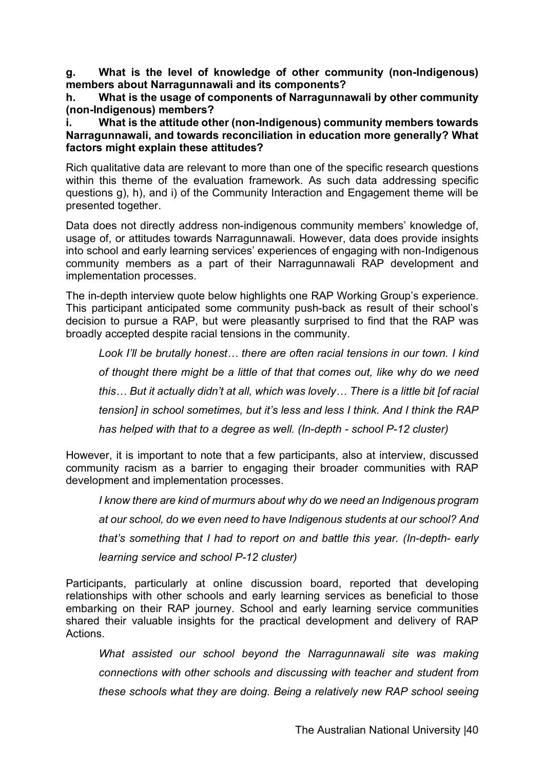**g. What is the level of knowledge of other community (non-Indigenous) members about Narragunnawali and its components?**

**h. What is the usage of components of Narragunnawali by other community (non-Indigenous) members?**

**i. What is the attitude other (non-Indigenous) community members towards Narragunnawali, and towards reconciliation in education more generally? What factors might explain these attitudes?**

Rich qualitative data are relevant to more than one of the specific research questions within this theme of the evaluation framework. As such data addressing specific questions g), h), and i) of the Community Interaction and Engagement theme will be presented together.

Data does not directly address non-indigenous community members' knowledge of, usage of, or attitudes towards Narragunnawali. However, data does provide insights into school and early learning services' experiences of engaging with non-Indigenous community members as a part of their Narragunnawali RAP development and implementation processes.

The in-depth interview quote below highlights one RAP Working Group's experience. This participant anticipated some community push-back as result of their school's decision to pursue a RAP, but were pleasantly surprised to find that the RAP was broadly accepted despite racial tensions in the community.

*Look I'll be brutally honest… there are often racial tensions in our town. I kind of thought there might be a little of that that comes out, like why do we need this… But it actually didn't at all, which was lovely… There is a little bit [of racial tension] in school sometimes, but it's less and less I think. And I think the RAP has helped with that to a degree as well. (In-depth - school P-12 cluster)*

However, it is important to note that a few participants, also at interview, discussed community racism as a barrier to engaging their broader communities with RAP development and implementation processes.

*I know there are kind of murmurs about why do we need an Indigenous program at our school, do we even need to have Indigenous students at our school? And that's something that I had to report on and battle this year. (In-depth- early learning service and school P-12 cluster)*

Participants, particularly at online discussion board, reported that developing relationships with other schools and early learning services as beneficial to those embarking on their RAP journey. School and early learning service communities shared their valuable insights for the practical development and delivery of RAP Actions.

*What assisted our school beyond the Narragunnawali site was making connections with other schools and discussing with teacher and student from these schools what they are doing. Being a relatively new RAP school seeing*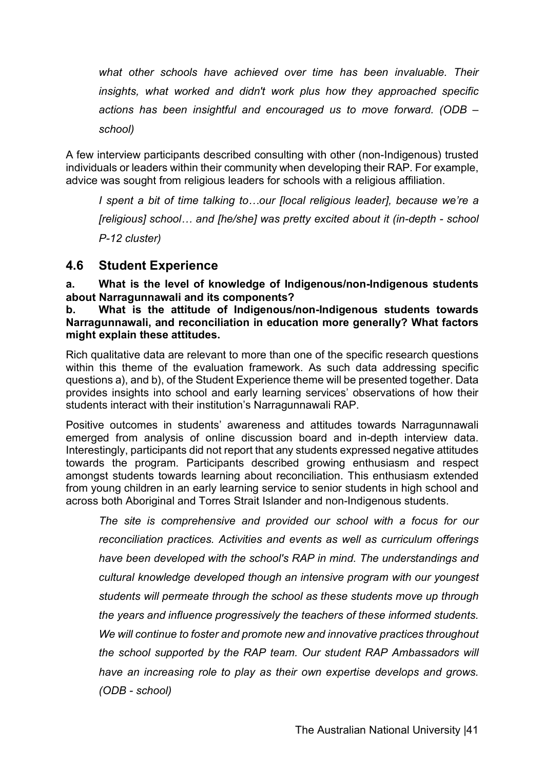*what other schools have achieved over time has been invaluable. Their insights, what worked and didn't work plus how they approached specific actions has been insightful and encouraged us to move forward. (ODB – school)*

A few interview participants described consulting with other (non-Indigenous) trusted individuals or leaders within their community when developing their RAP. For example, advice was sought from religious leaders for schools with a religious affiliation.

*I* spent a bit of time talking to...our [local religious leader], because we're a *[religious] school… and [he/she] was pretty excited about it (in-depth - school P-12 cluster)*

### **4.6 Student Experience**

**a. What is the level of knowledge of Indigenous/non-Indigenous students about Narragunnawali and its components?** 

**b. What is the attitude of Indigenous/non-Indigenous students towards Narragunnawali, and reconciliation in education more generally? What factors might explain these attitudes.** 

Rich qualitative data are relevant to more than one of the specific research questions within this theme of the evaluation framework. As such data addressing specific questions a), and b), of the Student Experience theme will be presented together. Data provides insights into school and early learning services' observations of how their students interact with their institution's Narragunnawali RAP.

Positive outcomes in students' awareness and attitudes towards Narragunnawali emerged from analysis of online discussion board and in-depth interview data. Interestingly, participants did not report that any students expressed negative attitudes towards the program. Participants described growing enthusiasm and respect amongst students towards learning about reconciliation. This enthusiasm extended from young children in an early learning service to senior students in high school and across both Aboriginal and Torres Strait Islander and non-Indigenous students.

*The site is comprehensive and provided our school with a focus for our reconciliation practices. Activities and events as well as curriculum offerings have been developed with the school's RAP in mind. The understandings and cultural knowledge developed though an intensive program with our youngest students will permeate through the school as these students move up through the years and influence progressively the teachers of these informed students. We will continue to foster and promote new and innovative practices throughout the school supported by the RAP team. Our student RAP Ambassadors will have an increasing role to play as their own expertise develops and grows. (ODB - school)*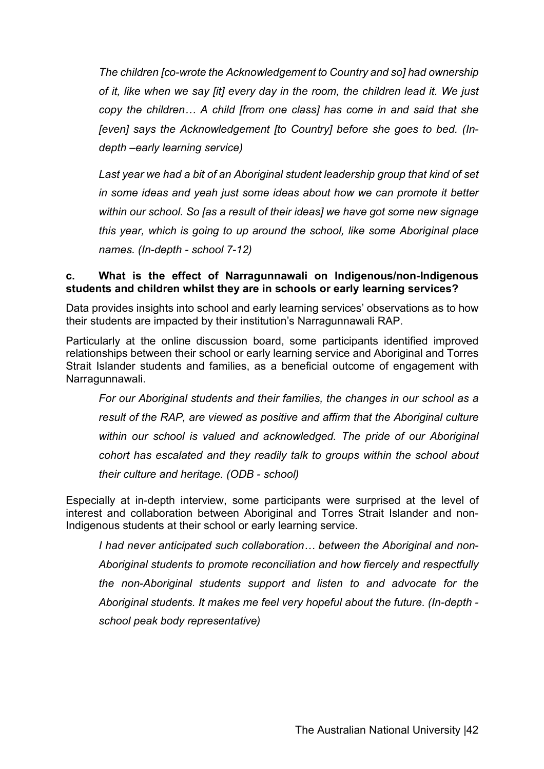*The children [co-wrote the Acknowledgement to Country and so] had ownership of it, like when we say [it] every day in the room, the children lead it. We just copy the children… A child [from one class] has come in and said that she [even] says the Acknowledgement [to Country] before she goes to bed. (Indepth –early learning service)*

*Last year we had a bit of an Aboriginal student leadership group that kind of set in some ideas and yeah just some ideas about how we can promote it better within our school. So [as a result of their ideas] we have got some new signage this year, which is going to up around the school, like some Aboriginal place names. (In-depth - school 7-12)*

#### **c. What is the effect of Narragunnawali on Indigenous/non-Indigenous students and children whilst they are in schools or early learning services?**

Data provides insights into school and early learning services' observations as to how their students are impacted by their institution's Narragunnawali RAP.

Particularly at the online discussion board, some participants identified improved relationships between their school or early learning service and Aboriginal and Torres Strait Islander students and families, as a beneficial outcome of engagement with Narragunnawali.

*For our Aboriginal students and their families, the changes in our school as a result of the RAP, are viewed as positive and affirm that the Aboriginal culture within our school is valued and acknowledged. The pride of our Aboriginal cohort has escalated and they readily talk to groups within the school about their culture and heritage. (ODB - school)*

Especially at in-depth interview, some participants were surprised at the level of interest and collaboration between Aboriginal and Torres Strait Islander and non-Indigenous students at their school or early learning service.

*I had never anticipated such collaboration… between the Aboriginal and non-Aboriginal students to promote reconciliation and how fiercely and respectfully the non-Aboriginal students support and listen to and advocate for the Aboriginal students. It makes me feel very hopeful about the future. (In-depth school peak body representative)*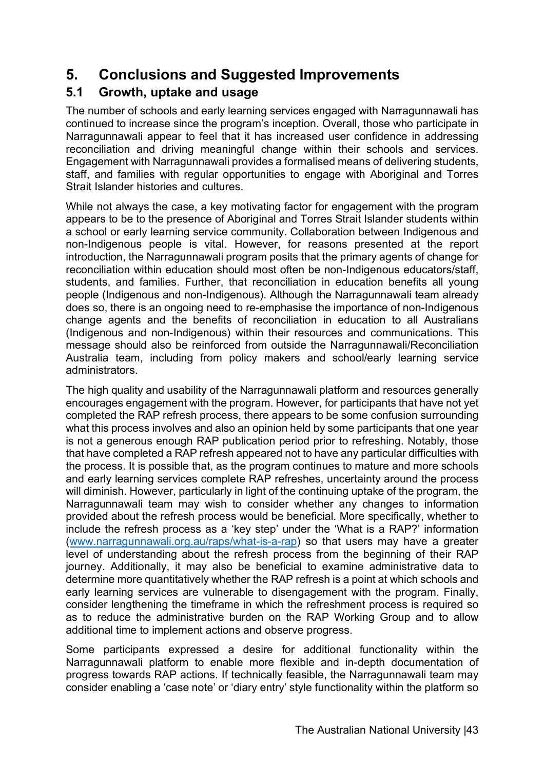# **5. Conclusions and Suggested Improvements**

# **5.1 Growth, uptake and usage**

The number of schools and early learning services engaged with Narragunnawali has continued to increase since the program's inception. Overall, those who participate in Narragunnawali appear to feel that it has increased user confidence in addressing reconciliation and driving meaningful change within their schools and services. Engagement with Narragunnawali provides a formalised means of delivering students, staff, and families with regular opportunities to engage with Aboriginal and Torres Strait Islander histories and cultures.

While not always the case, a key motivating factor for engagement with the program appears to be to the presence of Aboriginal and Torres Strait Islander students within a school or early learning service community. Collaboration between Indigenous and non-Indigenous people is vital. However, for reasons presented at the report introduction, the Narragunnawali program posits that the primary agents of change for reconciliation within education should most often be non-Indigenous educators/staff, students, and families. Further, that reconciliation in education benefits all young people (Indigenous and non-Indigenous). Although the Narragunnawali team already does so, there is an ongoing need to re-emphasise the importance of non-Indigenous change agents and the benefits of reconciliation in education to all Australians (Indigenous and non-Indigenous) within their resources and communications. This message should also be reinforced from outside the Narragunnawali/Reconciliation Australia team, including from policy makers and school/early learning service administrators.

The high quality and usability of the Narragunnawali platform and resources generally encourages engagement with the program. However, for participants that have not yet completed the RAP refresh process, there appears to be some confusion surrounding what this process involves and also an opinion held by some participants that one year is not a generous enough RAP publication period prior to refreshing. Notably, those that have completed a RAP refresh appeared not to have any particular difficulties with the process. It is possible that, as the program continues to mature and more schools and early learning services complete RAP refreshes, uncertainty around the process will diminish. However, particularly in light of the continuing uptake of the program, the Narragunnawali team may wish to consider whether any changes to information provided about the refresh process would be beneficial. More specifically, whether to include the refresh process as a 'key step' under the 'What is a RAP?' information (www.narragunnawali.org.au/raps/what-is-a-rap) so that users may have a greater level of understanding about the refresh process from the beginning of their RAP journey. Additionally, it may also be beneficial to examine administrative data to determine more quantitatively whether the RAP refresh is a point at which schools and early learning services are vulnerable to disengagement with the program. Finally, consider lengthening the timeframe in which the refreshment process is required so as to reduce the administrative burden on the RAP Working Group and to allow additional time to implement actions and observe progress.

Some participants expressed a desire for additional functionality within the Narragunnawali platform to enable more flexible and in-depth documentation of progress towards RAP actions. If technically feasible, the Narragunnawali team may consider enabling a 'case note' or 'diary entry' style functionality within the platform so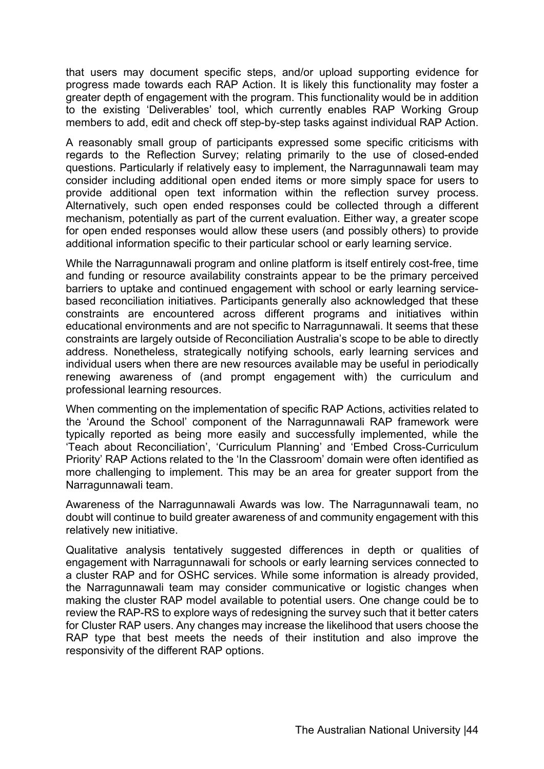that users may document specific steps, and/or upload supporting evidence for progress made towards each RAP Action. It is likely this functionality may foster a greater depth of engagement with the program. This functionality would be in addition to the existing 'Deliverables' tool, which currently enables RAP Working Group members to add, edit and check off step-by-step tasks against individual RAP Action.

A reasonably small group of participants expressed some specific criticisms with regards to the Reflection Survey; relating primarily to the use of closed-ended questions. Particularly if relatively easy to implement, the Narragunnawali team may consider including additional open ended items or more simply space for users to provide additional open text information within the reflection survey process. Alternatively, such open ended responses could be collected through a different mechanism, potentially as part of the current evaluation. Either way, a greater scope for open ended responses would allow these users (and possibly others) to provide additional information specific to their particular school or early learning service.

While the Narragunnawali program and online platform is itself entirely cost-free, time and funding or resource availability constraints appear to be the primary perceived barriers to uptake and continued engagement with school or early learning servicebased reconciliation initiatives. Participants generally also acknowledged that these constraints are encountered across different programs and initiatives within educational environments and are not specific to Narragunnawali. It seems that these constraints are largely outside of Reconciliation Australia's scope to be able to directly address. Nonetheless, strategically notifying schools, early learning services and individual users when there are new resources available may be useful in periodically renewing awareness of (and prompt engagement with) the curriculum and professional learning resources.

When commenting on the implementation of specific RAP Actions, activities related to the 'Around the School' component of the Narragunnawali RAP framework were typically reported as being more easily and successfully implemented, while the 'Teach about Reconciliation', 'Curriculum Planning' and 'Embed Cross-Curriculum Priority' RAP Actions related to the 'In the Classroom' domain were often identified as more challenging to implement. This may be an area for greater support from the Narragunnawali team.

Awareness of the Narragunnawali Awards was low. The Narragunnawali team, no doubt will continue to build greater awareness of and community engagement with this relatively new initiative.

Qualitative analysis tentatively suggested differences in depth or qualities of engagement with Narragunnawali for schools or early learning services connected to a cluster RAP and for OSHC services. While some information is already provided, the Narragunnawali team may consider communicative or logistic changes when making the cluster RAP model available to potential users. One change could be to review the RAP-RS to explore ways of redesigning the survey such that it better caters for Cluster RAP users. Any changes may increase the likelihood that users choose the RAP type that best meets the needs of their institution and also improve the responsivity of the different RAP options.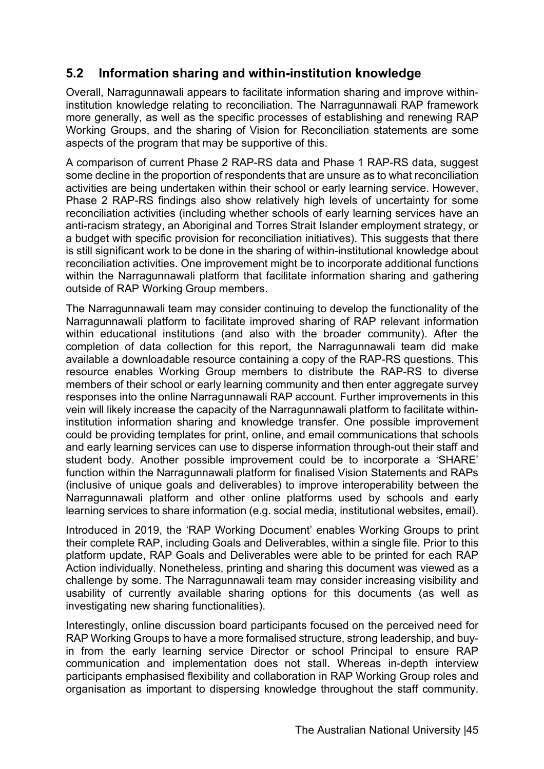## **5.2 Information sharing and within-institution knowledge**

Overall, Narragunnawali appears to facilitate information sharing and improve withininstitution knowledge relating to reconciliation. The Narragunnawali RAP framework more generally, as well as the specific processes of establishing and renewing RAP Working Groups, and the sharing of Vision for Reconciliation statements are some aspects of the program that may be supportive of this.

A comparison of current Phase 2 RAP-RS data and Phase 1 RAP-RS data, suggest some decline in the proportion of respondents that are unsure as to what reconciliation activities are being undertaken within their school or early learning service. However, Phase 2 RAP-RS findings also show relatively high levels of uncertainty for some reconciliation activities (including whether schools of early learning services have an anti-racism strategy, an Aboriginal and Torres Strait Islander employment strategy, or a budget with specific provision for reconciliation initiatives). This suggests that there is still significant work to be done in the sharing of within-institutional knowledge about reconciliation activities. One improvement might be to incorporate additional functions within the Narragunnawali platform that facilitate information sharing and gathering outside of RAP Working Group members.

The Narragunnawali team may consider continuing to develop the functionality of the Narragunnawali platform to facilitate improved sharing of RAP relevant information within educational institutions (and also with the broader community). After the completion of data collection for this report, the Narragunnawali team did make available a downloadable resource containing a copy of the RAP-RS questions. This resource enables Working Group members to distribute the RAP-RS to diverse members of their school or early learning community and then enter aggregate survey responses into the online Narragunnawali RAP account. Further improvements in this vein will likely increase the capacity of the Narragunnawali platform to facilitate withininstitution information sharing and knowledge transfer. One possible improvement could be providing templates for print, online, and email communications that schools and early learning services can use to disperse information through-out their staff and student body. Another possible improvement could be to incorporate a 'SHARE' function within the Narragunnawali platform for finalised Vision Statements and RAPs (inclusive of unique goals and deliverables) to improve interoperability between the Narragunnawali platform and other online platforms used by schools and early learning services to share information (e.g. social media, institutional websites, email).

Introduced in 2019, the 'RAP Working Document' enables Working Groups to print their complete RAP, including Goals and Deliverables, within a single file. Prior to this platform update, RAP Goals and Deliverables were able to be printed for each RAP Action individually. Nonetheless, printing and sharing this document was viewed as a challenge by some. The Narragunnawali team may consider increasing visibility and usability of currently available sharing options for this documents (as well as investigating new sharing functionalities).

Interestingly, online discussion board participants focused on the perceived need for RAP Working Groups to have a more formalised structure, strong leadership, and buyin from the early learning service Director or school Principal to ensure RAP communication and implementation does not stall. Whereas in-depth interview participants emphasised flexibility and collaboration in RAP Working Group roles and organisation as important to dispersing knowledge throughout the staff community.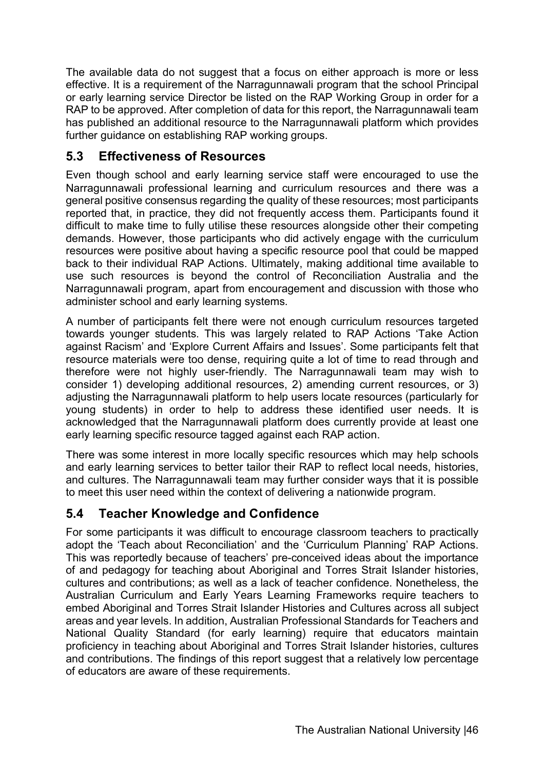The available data do not suggest that a focus on either approach is more or less effective. It is a requirement of the Narragunnawali program that the school Principal or early learning service Director be listed on the RAP Working Group in order for a RAP to be approved. After completion of data for this report, the Narragunnawali team has published an additional resource to the Narragunnawali platform which provides further guidance on establishing RAP working groups.

## **5.3 Effectiveness of Resources**

Even though school and early learning service staff were encouraged to use the Narragunnawali professional learning and curriculum resources and there was a general positive consensus regarding the quality of these resources; most participants reported that, in practice, they did not frequently access them. Participants found it difficult to make time to fully utilise these resources alongside other their competing demands. However, those participants who did actively engage with the curriculum resources were positive about having a specific resource pool that could be mapped back to their individual RAP Actions. Ultimately, making additional time available to use such resources is beyond the control of Reconciliation Australia and the Narragunnawali program, apart from encouragement and discussion with those who administer school and early learning systems.

A number of participants felt there were not enough curriculum resources targeted towards younger students. This was largely related to RAP Actions 'Take Action against Racism' and 'Explore Current Affairs and Issues'. Some participants felt that resource materials were too dense, requiring quite a lot of time to read through and therefore were not highly user-friendly. The Narragunnawali team may wish to consider 1) developing additional resources, 2) amending current resources, or 3) adjusting the Narragunnawali platform to help users locate resources (particularly for young students) in order to help to address these identified user needs. It is acknowledged that the Narragunnawali platform does currently provide at least one early learning specific resource tagged against each RAP action.

There was some interest in more locally specific resources which may help schools and early learning services to better tailor their RAP to reflect local needs, histories, and cultures. The Narragunnawali team may further consider ways that it is possible to meet this user need within the context of delivering a nationwide program.

## **5.4 Teacher Knowledge and Confidence**

For some participants it was difficult to encourage classroom teachers to practically adopt the 'Teach about Reconciliation' and the 'Curriculum Planning' RAP Actions. This was reportedly because of teachers' pre-conceived ideas about the importance of and pedagogy for teaching about Aboriginal and Torres Strait Islander histories, cultures and contributions; as well as a lack of teacher confidence. Nonetheless, the Australian Curriculum and Early Years Learning Frameworks require teachers to embed Aboriginal and Torres Strait Islander Histories and Cultures across all subject areas and year levels. In addition, Australian Professional Standards for Teachers and National Quality Standard (for early learning) require that educators maintain proficiency in teaching about Aboriginal and Torres Strait Islander histories, cultures and contributions. The findings of this report suggest that a relatively low percentage of educators are aware of these requirements.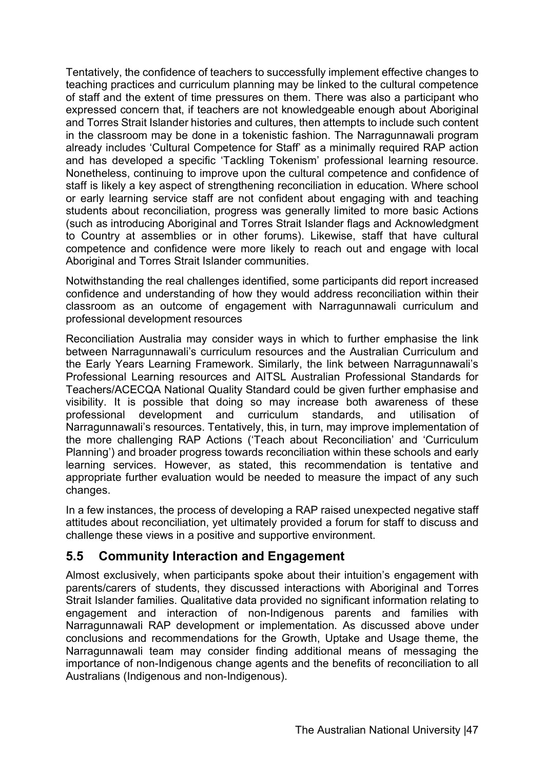Tentatively, the confidence of teachers to successfully implement effective changes to teaching practices and curriculum planning may be linked to the cultural competence of staff and the extent of time pressures on them. There was also a participant who expressed concern that, if teachers are not knowledgeable enough about Aboriginal and Torres Strait Islander histories and cultures, then attempts to include such content in the classroom may be done in a tokenistic fashion. The Narragunnawali program already includes 'Cultural Competence for Staff' as a minimally required RAP action and has developed a specific 'Tackling Tokenism' professional learning resource. Nonetheless, continuing to improve upon the cultural competence and confidence of staff is likely a key aspect of strengthening reconciliation in education. Where school or early learning service staff are not confident about engaging with and teaching students about reconciliation, progress was generally limited to more basic Actions (such as introducing Aboriginal and Torres Strait Islander flags and Acknowledgment to Country at assemblies or in other forums). Likewise, staff that have cultural competence and confidence were more likely to reach out and engage with local Aboriginal and Torres Strait Islander communities.

Notwithstanding the real challenges identified, some participants did report increased confidence and understanding of how they would address reconciliation within their classroom as an outcome of engagement with Narragunnawali curriculum and professional development resources

Reconciliation Australia may consider ways in which to further emphasise the link between Narragunnawali's curriculum resources and the Australian Curriculum and the Early Years Learning Framework. Similarly, the link between Narragunnawali's Professional Learning resources and AITSL Australian Professional Standards for Teachers/ACECQA National Quality Standard could be given further emphasise and visibility. It is possible that doing so may increase both awareness of these professional development and curriculum standards, and utilisation of Narragunnawali's resources. Tentatively, this, in turn, may improve implementation of the more challenging RAP Actions ('Teach about Reconciliation' and 'Curriculum Planning') and broader progress towards reconciliation within these schools and early learning services. However, as stated, this recommendation is tentative and appropriate further evaluation would be needed to measure the impact of any such changes.

In a few instances, the process of developing a RAP raised unexpected negative staff attitudes about reconciliation, yet ultimately provided a forum for staff to discuss and challenge these views in a positive and supportive environment.

## **5.5 Community Interaction and Engagement**

Almost exclusively, when participants spoke about their intuition's engagement with parents/carers of students, they discussed interactions with Aboriginal and Torres Strait Islander families. Qualitative data provided no significant information relating to engagement and interaction of non-Indigenous parents and families with Narragunnawali RAP development or implementation. As discussed above under conclusions and recommendations for the Growth, Uptake and Usage theme, the Narragunnawali team may consider finding additional means of messaging the importance of non-Indigenous change agents and the benefits of reconciliation to all Australians (Indigenous and non-Indigenous).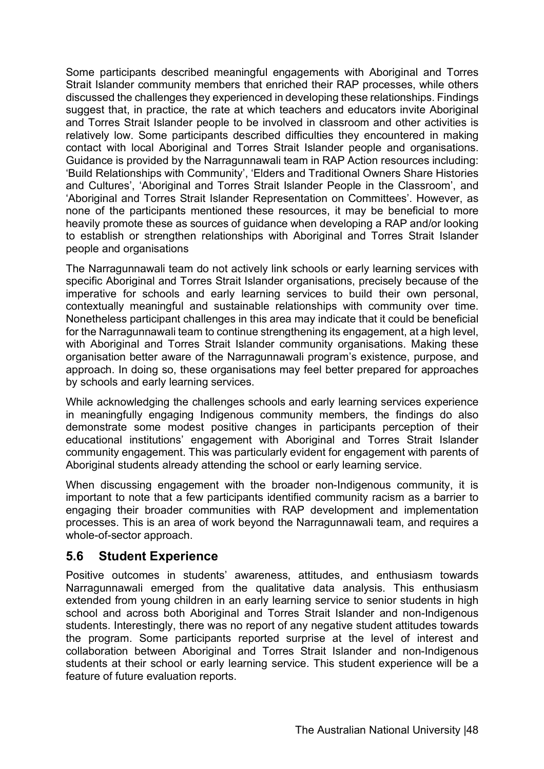Some participants described meaningful engagements with Aboriginal and Torres Strait Islander community members that enriched their RAP processes, while others discussed the challenges they experienced in developing these relationships. Findings suggest that, in practice, the rate at which teachers and educators invite Aboriginal and Torres Strait Islander people to be involved in classroom and other activities is relatively low. Some participants described difficulties they encountered in making contact with local Aboriginal and Torres Strait Islander people and organisations. Guidance is provided by the Narragunnawali team in RAP Action resources including: 'Build Relationships with Community', 'Elders and Traditional Owners Share Histories and Cultures', 'Aboriginal and Torres Strait Islander People in the Classroom', and 'Aboriginal and Torres Strait Islander Representation on Committees'. However, as none of the participants mentioned these resources, it may be beneficial to more heavily promote these as sources of guidance when developing a RAP and/or looking to establish or strengthen relationships with Aboriginal and Torres Strait Islander people and organisations

The Narragunnawali team do not actively link schools or early learning services with specific Aboriginal and Torres Strait Islander organisations, precisely because of the imperative for schools and early learning services to build their own personal, contextually meaningful and sustainable relationships with community over time. Nonetheless participant challenges in this area may indicate that it could be beneficial for the Narragunnawali team to continue strengthening its engagement, at a high level, with Aboriginal and Torres Strait Islander community organisations. Making these organisation better aware of the Narragunnawali program's existence, purpose, and approach. In doing so, these organisations may feel better prepared for approaches by schools and early learning services.

While acknowledging the challenges schools and early learning services experience in meaningfully engaging Indigenous community members, the findings do also demonstrate some modest positive changes in participants perception of their educational institutions' engagement with Aboriginal and Torres Strait Islander community engagement. This was particularly evident for engagement with parents of Aboriginal students already attending the school or early learning service.

When discussing engagement with the broader non-Indigenous community, it is important to note that a few participants identified community racism as a barrier to engaging their broader communities with RAP development and implementation processes. This is an area of work beyond the Narragunnawali team, and requires a whole-of-sector approach.

#### **5.6 Student Experience**

Positive outcomes in students' awareness, attitudes, and enthusiasm towards Narragunnawali emerged from the qualitative data analysis. This enthusiasm extended from young children in an early learning service to senior students in high school and across both Aboriginal and Torres Strait Islander and non-Indigenous students. Interestingly, there was no report of any negative student attitudes towards the program. Some participants reported surprise at the level of interest and collaboration between Aboriginal and Torres Strait Islander and non-Indigenous students at their school or early learning service. This student experience will be a feature of future evaluation reports.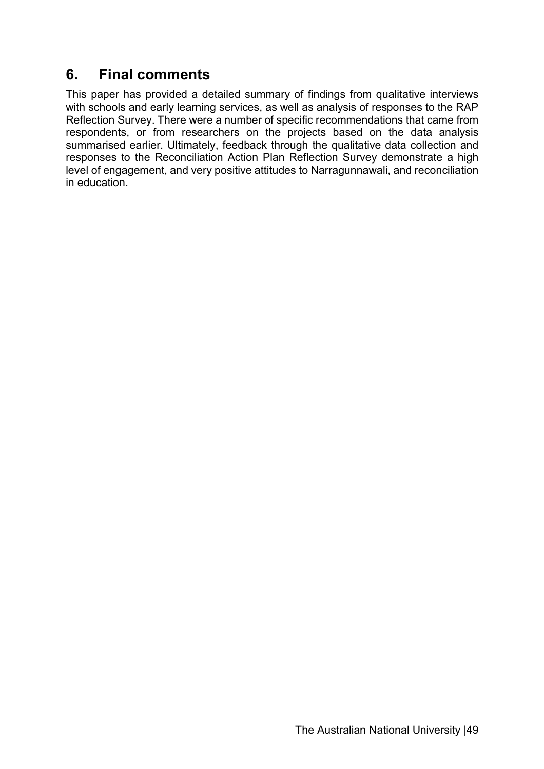# **6. Final comments**

This paper has provided a detailed summary of findings from qualitative interviews with schools and early learning services, as well as analysis of responses to the RAP Reflection Survey. There were a number of specific recommendations that came from respondents, or from researchers on the projects based on the data analysis summarised earlier. Ultimately, feedback through the qualitative data collection and responses to the Reconciliation Action Plan Reflection Survey demonstrate a high level of engagement, and very positive attitudes to Narragunnawali, and reconciliation in education.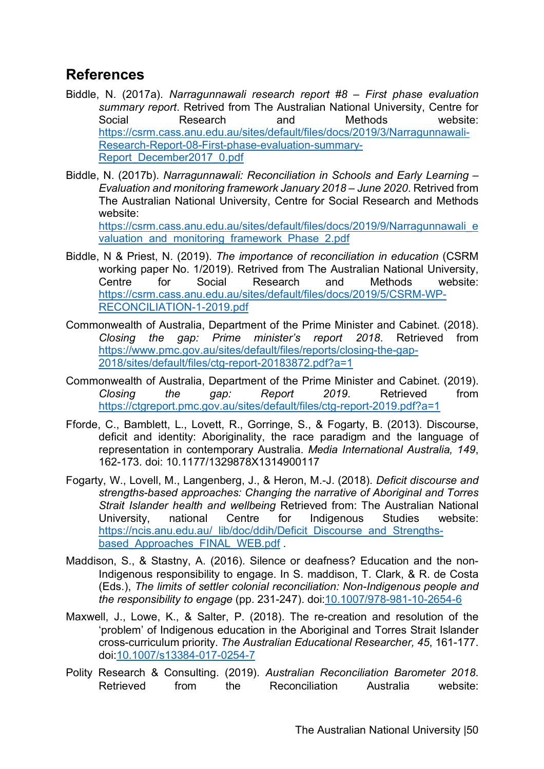# **References**

- Biddle, N. (2017a). *Narragunnawali research report #8 – First phase evaluation summary report*. Retrived from The Australian National University, Centre for Social Research and Methods website: https://csrm.cass.anu.edu.au/sites/default/files/docs/2019/3/Narragunnawali-Research-Report-08-First-phase-evaluation-summary-Report\_December2017\_0.pdf
- Biddle, N. (2017b). *Narragunnawali: Reconciliation in Schools and Early Learning – Evaluation and monitoring framework January 2018 – June 2020*. Retrived from The Australian National University, Centre for Social Research and Methods website:

https://csrm.cass.anu.edu.au/sites/default/files/docs/2019/9/Narragunnawali\_e valuation and monitoring framework Phase 2.pdf

- Biddle, N & Priest, N. (2019). *The importance of reconciliation in education* (CSRM working paper No. 1/2019). Retrived from The Australian National University, Centre for Social Research and Methods website: https://csrm.cass.anu.edu.au/sites/default/files/docs/2019/5/CSRM-WP-RECONCILIATION-1-2019.pdf
- Commonwealth of Australia, Department of the Prime Minister and Cabinet. (2018). *Closing the gap: Prime minister's report 2018*. Retrieved from https://www.pmc.gov.au/sites/default/files/reports/closing-the-gap-2018/sites/default/files/ctg-report-20183872.pdf?a=1
- Commonwealth of Australia, Department of the Prime Minister and Cabinet. (2019). *Closing the gap: Report 2019*. Retrieved from https://ctgreport.pmc.gov.au/sites/default/files/ctg-report-2019.pdf?a=1
- Fforde, C., Bamblett, L., Lovett, R., Gorringe, S., & Fogarty, B. (2013). Discourse, deficit and identity: Aboriginality, the race paradigm and the language of representation in contemporary Australia. *Media International Australia, 149*, 162-173. doi: 10.1177/1329878X1314900117
- Fogarty, W., Lovell, M., Langenberg, J., & Heron, M.-J. (2018). *Deficit discourse and strengths-based approaches: Changing the narrative of Aboriginal and Torres Strait Islander health and wellbeing* Retrieved from: The Australian National University, national Centre for Indigenous Studies website: https://ncis.anu.edu.au/\_lib/doc/ddih/Deficit\_Discourse\_and\_Strengthsbased Approaches FINAL WEB.pdf
- Maddison, S., & Stastny, A. (2016). Silence or deafness? Education and the non-Indigenous responsibility to engage. In S. maddison, T. Clark, & R. de Costa (Eds.), *The limits of settler colonial reconciliation: Non-Indigenous people and the responsibility to engage* (pp. 231-247). doi:10.1007/978-981-10-2654-6
- Maxwell, J., Lowe, K., & Salter, P. (2018). The re-creation and resolution of the 'problem' of Indigenous education in the Aboriginal and Torres Strait Islander cross-curriculum priority. *The Australian Educational Researcher, 45*, 161-177. doi:10.1007/s13384-017-0254-7
- Polity Research & Consulting. (2019). *Australian Reconciliation Barometer 2018*. Retrieved from the Reconciliation Australia website: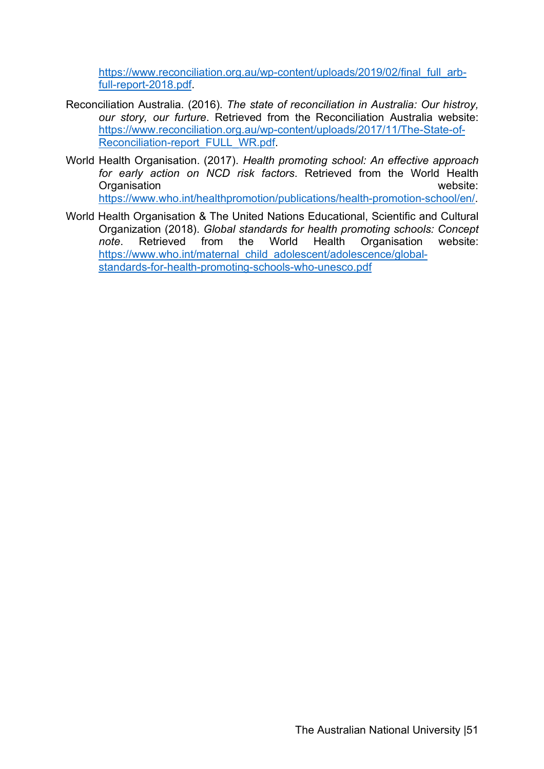https://www.reconciliation.org.au/wp-content/uploads/2019/02/final\_full\_arbfull-report-2018.pdf.

- Reconciliation Australia. (2016). *The state of reconciliation in Australia: Our histroy, our story, our furture*. Retrieved from the Reconciliation Australia website: https://www.reconciliation.org.au/wp-content/uploads/2017/11/The-State-of-Reconciliation-report\_FULL\_WR.pdf.
- World Health Organisation. (2017). *Health promoting school: An effective approach for early action on NCD risk factors*. Retrieved from the World Health Organisation website: https://www.who.int/healthpromotion/publications/health-promotion-school/en/.
- World Health Organisation & The United Nations Educational, Scientific and Cultural Organization (2018). *Global standards for health promoting schools: Concept note*. Retrieved from the World Health Organisation website: https://www.who.int/maternal\_child\_adolescent/adolescence/globalstandards-for-health-promoting-schools-who-unesco.pdf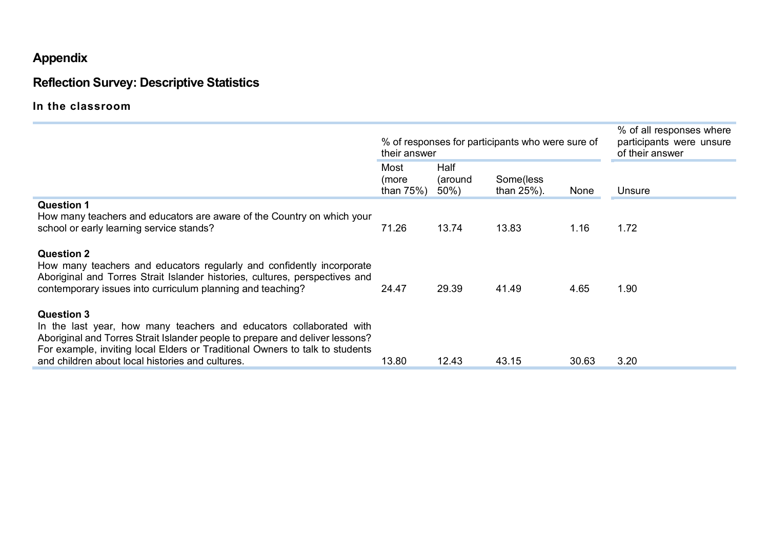# **Appendix**

# **Reflection Survey: Descriptive Statistics**

**In the classroom**

|                                                                                                                                                                                                                                                                                                              | their answer                | % of responses for participants who were sure of |                             | % of all responses where<br>participants were unsure<br>of their answer |        |
|--------------------------------------------------------------------------------------------------------------------------------------------------------------------------------------------------------------------------------------------------------------------------------------------------------------|-----------------------------|--------------------------------------------------|-----------------------------|-------------------------------------------------------------------------|--------|
|                                                                                                                                                                                                                                                                                                              | Most<br>(more<br>than $75%$ | Half<br>(around<br>$50\%)$                       | Some(less<br>than $25\%$ ). | None                                                                    | Unsure |
| <b>Question 1</b><br>How many teachers and educators are aware of the Country on which your<br>school or early learning service stands?                                                                                                                                                                      | 71.26                       | 13.74                                            | 13.83                       | 1.16                                                                    | 1.72   |
| <b>Question 2</b><br>How many teachers and educators regularly and confidently incorporate<br>Aboriginal and Torres Strait Islander histories, cultures, perspectives and<br>contemporary issues into curriculum planning and teaching?                                                                      | 24.47                       | 29.39                                            | 41.49                       | 4.65                                                                    | 1.90   |
| <b>Question 3</b><br>In the last year, how many teachers and educators collaborated with<br>Aboriginal and Torres Strait Islander people to prepare and deliver lessons?<br>For example, inviting local Elders or Traditional Owners to talk to students<br>and children about local histories and cultures. | 13.80                       | 12.43                                            | 43.15                       | 30.63                                                                   | 3.20   |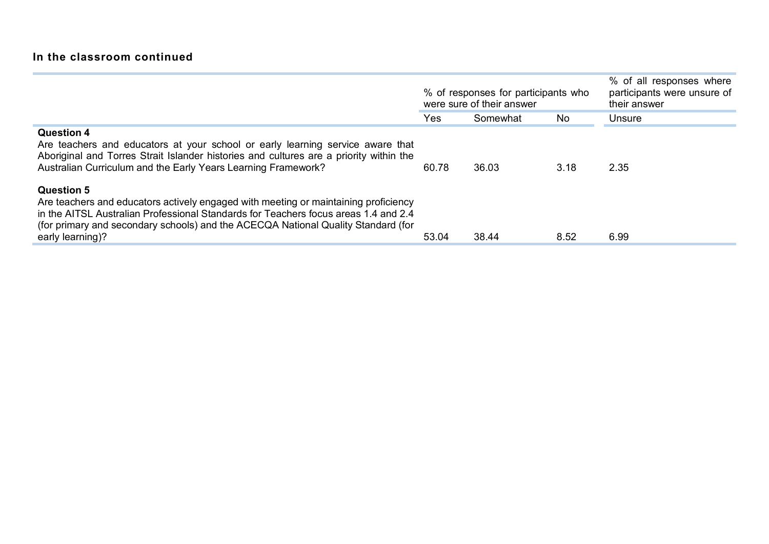### **In the classroom continued**

|                                                                                                                                                                                                                                                                                                          | % of responses for participants who<br>were sure of their answer |          |      | % of all responses where<br>participants were unsure of<br>their answer |
|----------------------------------------------------------------------------------------------------------------------------------------------------------------------------------------------------------------------------------------------------------------------------------------------------------|------------------------------------------------------------------|----------|------|-------------------------------------------------------------------------|
|                                                                                                                                                                                                                                                                                                          | Yes                                                              | Somewhat | No.  | Unsure                                                                  |
| <b>Question 4</b><br>Are teachers and educators at your school or early learning service aware that<br>Aboriginal and Torres Strait Islander histories and cultures are a priority within the<br>Australian Curriculum and the Early Years Learning Framework?                                           | 60.78                                                            | 36.03    | 3.18 | 2.35                                                                    |
| <b>Question 5</b><br>Are teachers and educators actively engaged with meeting or maintaining proficiency<br>in the AITSL Australian Professional Standards for Teachers focus areas 1.4 and 2.4<br>(for primary and secondary schools) and the ACECQA National Quality Standard (for<br>early learning)? | 53.04                                                            | 38.44    | 8.52 | 6.99                                                                    |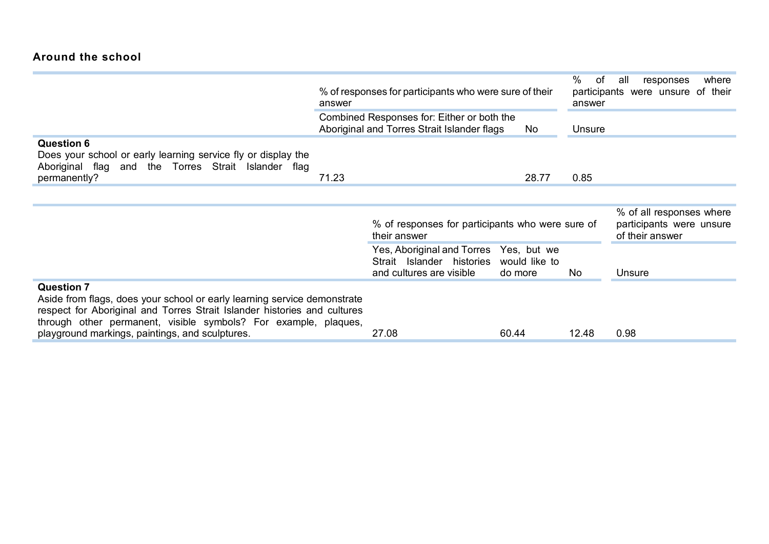#### **Around the school**

|                                                                                                                                                                                                                                                                                                 | answer | % of responses for participants who were sure of their                                          | %<br>of<br>answer        | where<br>all<br>responses<br>participants were unsure of their |                                                                         |
|-------------------------------------------------------------------------------------------------------------------------------------------------------------------------------------------------------------------------------------------------------------------------------------------------|--------|-------------------------------------------------------------------------------------------------|--------------------------|----------------------------------------------------------------|-------------------------------------------------------------------------|
|                                                                                                                                                                                                                                                                                                 |        | Combined Responses for: Either or both the<br>Aboriginal and Torres Strait Islander flags       | Unsure                   |                                                                |                                                                         |
| <b>Question 6</b><br>Does your school or early learning service fly or display the<br>Aboriginal flag and the Torres Strait Islander flag<br>permanently?                                                                                                                                       | 71.23  |                                                                                                 | 28.77                    | 0.85                                                           |                                                                         |
|                                                                                                                                                                                                                                                                                                 |        |                                                                                                 |                          |                                                                |                                                                         |
|                                                                                                                                                                                                                                                                                                 |        | % of responses for participants who were sure of<br>their answer                                |                          |                                                                | % of all responses where<br>participants were unsure<br>of their answer |
|                                                                                                                                                                                                                                                                                                 |        | Yes, Aboriginal and Torres Yes, but we<br>Strait Islander histories<br>and cultures are visible | would like to<br>do more | No                                                             | Unsure                                                                  |
| <b>Question 7</b><br>Aside from flags, does your school or early learning service demonstrate<br>respect for Aboriginal and Torres Strait Islander histories and cultures<br>through other permanent, visible symbols? For example, plaques,<br>playground markings, paintings, and sculptures. |        | 27.08                                                                                           | 60.44                    | 12.48                                                          | 0.98                                                                    |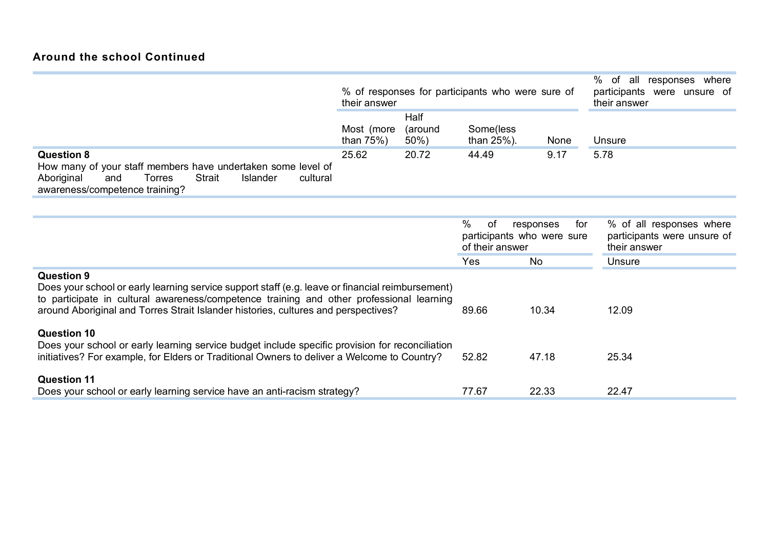|                                                                                                                                                                                                                                                                                                         | % of responses for participants who were sure of<br>their answer |                    | %<br>responses where<br>of all<br>participants were unsure of<br>their answer |                                                |                                                                         |
|---------------------------------------------------------------------------------------------------------------------------------------------------------------------------------------------------------------------------------------------------------------------------------------------------------|------------------------------------------------------------------|--------------------|-------------------------------------------------------------------------------|------------------------------------------------|-------------------------------------------------------------------------|
|                                                                                                                                                                                                                                                                                                         |                                                                  | Half               |                                                                               |                                                |                                                                         |
|                                                                                                                                                                                                                                                                                                         | Most (more<br>than $75%$ )                                       | (around<br>$50\%)$ | Some(less<br>than 25%).                                                       | None                                           | Unsure                                                                  |
| <b>Question 8</b><br>How many of your staff members have undertaken some level of<br><b>Strait</b><br>Aboriginal<br>and<br>Torres<br><b>Islander</b><br>cultural<br>awareness/competence training?                                                                                                      | 25.62                                                            | 20.72              | 44.49                                                                         | 9.17                                           | 5.78                                                                    |
|                                                                                                                                                                                                                                                                                                         |                                                                  |                    | $\%$<br>of<br>of their answer                                                 | responses<br>for<br>participants who were sure | % of all responses where<br>participants were unsure of<br>their answer |
|                                                                                                                                                                                                                                                                                                         |                                                                  |                    | Yes                                                                           | <b>No</b>                                      | Unsure                                                                  |
| <b>Question 9</b><br>Does your school or early learning service support staff (e.g. leave or financial reimbursement)<br>to participate in cultural awareness/competence training and other professional learning<br>around Aboriginal and Torres Strait Islander histories, cultures and perspectives? | 89.66                                                            | 10.34              | 12.09                                                                         |                                                |                                                                         |
| <b>Question 10</b><br>Does your school or early learning service budget include specific provision for reconciliation<br>initiatives? For example, for Elders or Traditional Owners to deliver a Welcome to Country?                                                                                    |                                                                  |                    | 52.82                                                                         | 47.18                                          | 25.34                                                                   |
| <b>Question 11</b><br>Does your school or early learning service have an anti-racism strategy?                                                                                                                                                                                                          |                                                                  |                    | 77.67                                                                         | 22.33                                          | 22.47                                                                   |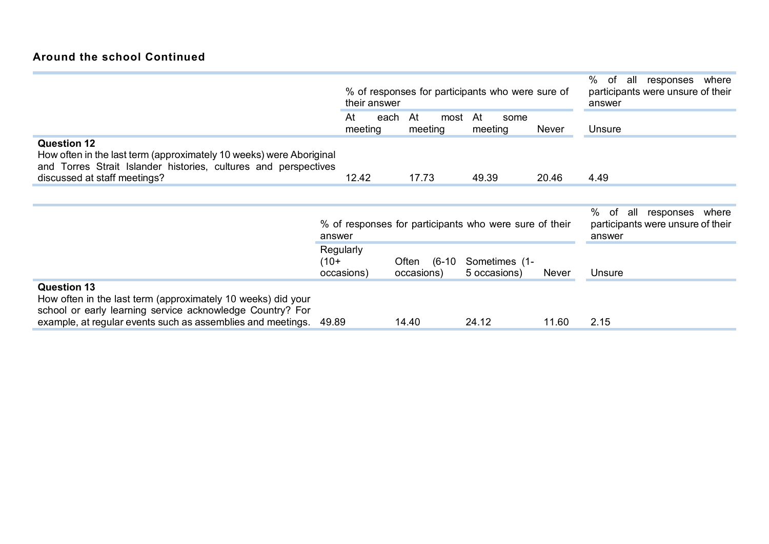#### **Around the school Continued**

|                                                                                                                                                                                                                      | their answer                      | % of responses for participants who were sure of       | %<br>. of<br>where<br>responses<br>all<br>participants were unsure of their<br>answer |              |        |
|----------------------------------------------------------------------------------------------------------------------------------------------------------------------------------------------------------------------|-----------------------------------|--------------------------------------------------------|---------------------------------------------------------------------------------------|--------------|--------|
|                                                                                                                                                                                                                      | At<br>meeting                     | each<br>At<br>most<br>meeting                          | At<br>some<br>meeting                                                                 | Never        | Unsure |
| <b>Question 12</b><br>How often in the last term (approximately 10 weeks) were Aboriginal<br>and Torres Strait Islander histories, cultures and perspectives<br>discussed at staff meetings?                         | 12.42                             | 17.73                                                  | 49.39                                                                                 | 20.46        | 4.49   |
|                                                                                                                                                                                                                      |                                   |                                                        |                                                                                       |              |        |
|                                                                                                                                                                                                                      | answer                            | % of responses for participants who were sure of their | %<br>of<br>all<br>responses<br>where<br>participants were unsure of their<br>answer   |              |        |
|                                                                                                                                                                                                                      | Regularly<br>$(10+$<br>occasions) | Often (6-10<br>occasions)                              | Sometimes (1-<br>5 occasions)                                                         | <b>Never</b> | Unsure |
| <b>Question 13</b><br>How often in the last term (approximately 10 weeks) did your<br>school or early learning service acknowledge Country? For<br>example, at regular events such as assemblies and meetings. 49.89 |                                   | 14.40                                                  | 24.12                                                                                 | 11.60        | 2.15   |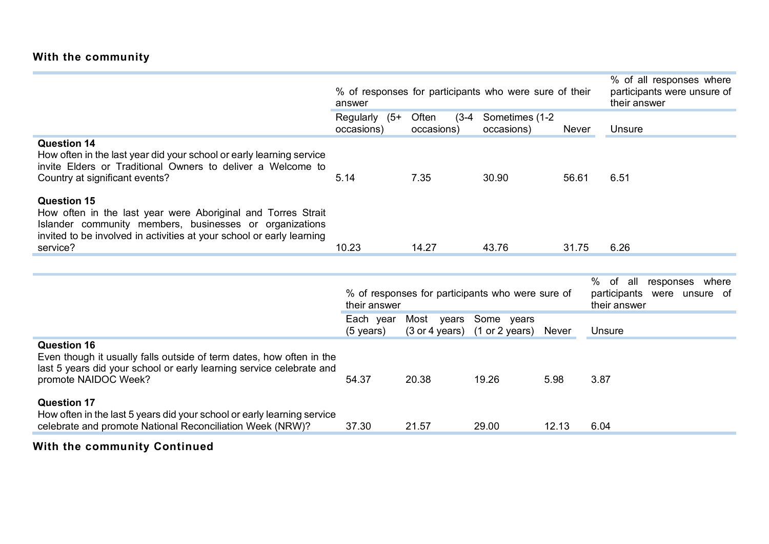## **With the community**

|                                                                                                                                                                                                                                    | answer                           | % of responses for participants who were sure of their | % of all responses where<br>participants were unsure of<br>their answer             |       |        |
|------------------------------------------------------------------------------------------------------------------------------------------------------------------------------------------------------------------------------------|----------------------------------|--------------------------------------------------------|-------------------------------------------------------------------------------------|-------|--------|
|                                                                                                                                                                                                                                    | Regularly (5+<br>occasions)      | Often<br>$(3-4)$<br>occasions)                         | Sometimes (1-2<br>occasions)                                                        | Never | Unsure |
| <b>Question 14</b><br>How often in the last year did your school or early learning service<br>invite Elders or Traditional Owners to deliver a Welcome to<br>Country at significant events?                                        | 5.14                             | 7.35                                                   | 30.90                                                                               | 56.61 | 6.51   |
| <b>Question 15</b><br>How often in the last year were Aboriginal and Torres Strait<br>Islander community members, businesses or organizations<br>invited to be involved in activities at your school or early learning<br>service? | 10.23                            | 14.27                                                  | 43.76                                                                               | 31.75 | 6.26   |
|                                                                                                                                                                                                                                    |                                  |                                                        |                                                                                     |       |        |
|                                                                                                                                                                                                                                    | their answer                     | % of responses for participants who were sure of       | %<br>of<br>all<br>responses where<br>participants<br>were unsure of<br>their answer |       |        |
|                                                                                                                                                                                                                                    | Each year<br>$(5 \text{ years})$ | Most years<br>$(3 \text{ or } 4 \text{ years})$        | Unsure                                                                              |       |        |
| <b>Question 16</b><br>Even though it usually falls outside of term dates, how often in the<br>last 5 years did your school or early learning service celebrate and<br>promote NAIDOC Week?                                         | 54.37                            | 20.38                                                  | 19.26                                                                               | 5.98  | 3.87   |
| <b>Question 17</b><br>How often in the last 5 years did your school or early learning service<br>celebrate and promote National Reconciliation Week (NRW)?                                                                         | 37.30                            | 21.57                                                  | 29.00                                                                               | 12.13 | 6.04   |

# **With the community Continued**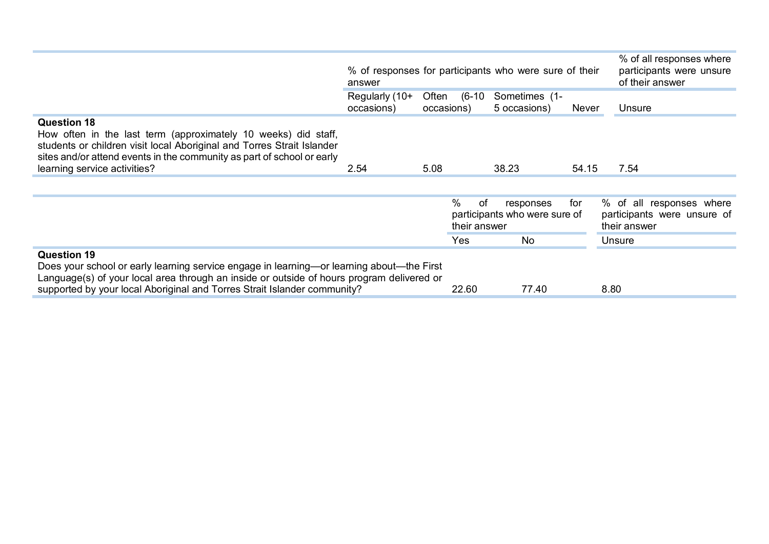|                                                                                                                                                                                                                                                                                          | answer                       |       |                            | % of responses for participants who were sure of their |       | % of all responses where<br>participants were unsure<br>of their answer |
|------------------------------------------------------------------------------------------------------------------------------------------------------------------------------------------------------------------------------------------------------------------------------------------|------------------------------|-------|----------------------------|--------------------------------------------------------|-------|-------------------------------------------------------------------------|
|                                                                                                                                                                                                                                                                                          | Regularly (10+<br>occasions) | Often | (6-10<br>occasions)        | Sometimes (1-<br>5 occasions)                          | Never | Unsure                                                                  |
| <b>Question 18</b><br>How often in the last term (approximately 10 weeks) did staff,<br>students or children visit local Aboriginal and Torres Strait Islander<br>sites and/or attend events in the community as part of school or early<br>learning service activities?                 | 2.54                         | 5.08  |                            | 38.23                                                  | 54.15 | 7.54                                                                    |
|                                                                                                                                                                                                                                                                                          |                              |       | $\%$<br>of<br>their answer | responses<br>participants who were sure of             | for   | % of all responses where<br>participants were unsure of<br>their answer |
|                                                                                                                                                                                                                                                                                          |                              |       | Yes                        | No                                                     |       | Unsure                                                                  |
| <b>Question 19</b><br>Does your school or early learning service engage in learning—or learning about—the First<br>Language(s) of your local area through an inside or outside of hours program delivered or<br>supported by your local Aboriginal and Torres Strait Islander community? |                              |       | 22.60                      | 77.40                                                  |       | 8.80                                                                    |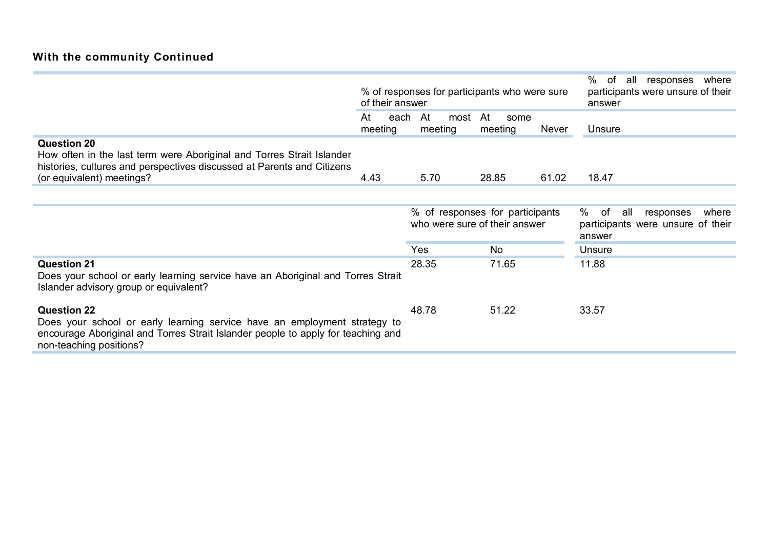|                                                                                                                                                                                                                | of their answer                                                  |      | % of responses for participants who were sure                                       | %<br>where<br>of<br>responses<br>all<br>participants were unsure of their<br>answer |       |        |
|----------------------------------------------------------------------------------------------------------------------------------------------------------------------------------------------------------------|------------------------------------------------------------------|------|-------------------------------------------------------------------------------------|-------------------------------------------------------------------------------------|-------|--------|
|                                                                                                                                                                                                                | At<br>meeting                                                    | each | At<br>most<br>meeting                                                               | At<br>some<br>meeting                                                               | Never | Unsure |
| <b>Question 20</b><br>How often in the last term were Aboriginal and Torres Strait Islander<br>histories, cultures and perspectives discussed at Parents and Citizens<br>(or equivalent) meetings?             | 4.43                                                             |      | 5.70                                                                                | 28.85                                                                               | 61.02 | 18.47  |
|                                                                                                                                                                                                                |                                                                  |      |                                                                                     |                                                                                     |       |        |
|                                                                                                                                                                                                                | % of responses for participants<br>who were sure of their answer |      | %<br>of<br>where<br>all<br>responses<br>participants were unsure of their<br>answer |                                                                                     |       |        |
|                                                                                                                                                                                                                |                                                                  |      | Yes                                                                                 | No                                                                                  |       | Unsure |
| <b>Question 21</b><br>Does your school or early learning service have an Aboriginal and Torres Strait<br>Islander advisory group or equivalent?                                                                |                                                                  |      | 28.35                                                                               | 71.65                                                                               |       | 11.88  |
| <b>Question 22</b><br>Does your school or early learning service have an employment strategy to<br>encourage Aboriginal and Torres Strait Islander people to apply for teaching and<br>non-teaching positions? |                                                                  |      | 48.78                                                                               | 51.22                                                                               |       | 33.57  |